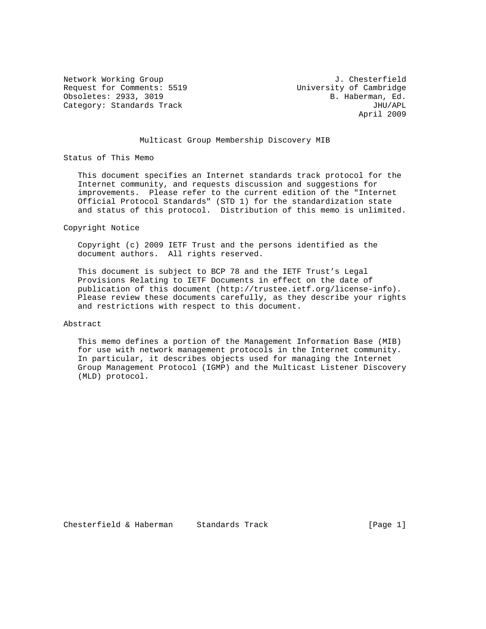Request for Comments: 5519 University of Cambridge Obsoletes: 2933, 3019 B. Haberman, Ed. Category: Standards Track JHU/APL

Network Working Group 3. The State of the Methods of the Methods of the Methods of the Methods of the Methods o April 2009

## Multicast Group Membership Discovery MIB

Status of This Memo

 This document specifies an Internet standards track protocol for the Internet community, and requests discussion and suggestions for improvements. Please refer to the current edition of the "Internet Official Protocol Standards" (STD 1) for the standardization state and status of this protocol. Distribution of this memo is unlimited.

Copyright Notice

 Copyright (c) 2009 IETF Trust and the persons identified as the document authors. All rights reserved.

 This document is subject to BCP 78 and the IETF Trust's Legal Provisions Relating to IETF Documents in effect on the date of publication of this document (http://trustee.ietf.org/license-info). Please review these documents carefully, as they describe your rights and restrictions with respect to this document.

## Abstract

 This memo defines a portion of the Management Information Base (MIB) for use with network management protocols in the Internet community. In particular, it describes objects used for managing the Internet Group Management Protocol (IGMP) and the Multicast Listener Discovery (MLD) protocol.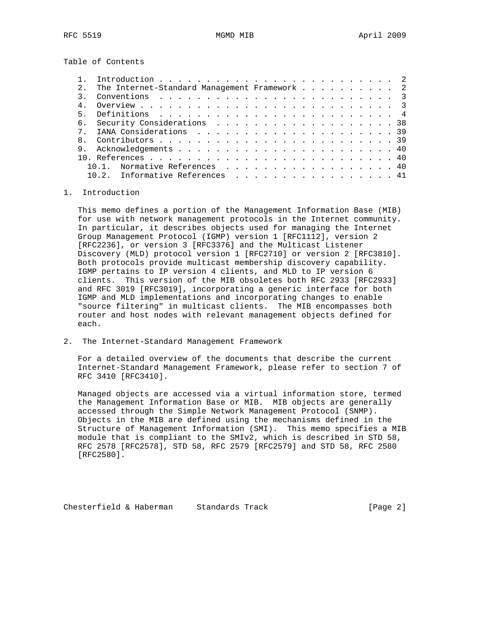Table of Contents

|       | The Internet-Standard Management Framework 2                                                                   |  |  |  |  |  |  |
|-------|----------------------------------------------------------------------------------------------------------------|--|--|--|--|--|--|
|       | Conventions $\ldots$ $\ldots$ $\ldots$ $\ldots$ $\ldots$ $\ldots$ $\ldots$ $\ldots$ $\ldots$ $\ldots$ $\ldots$ |  |  |  |  |  |  |
|       |                                                                                                                |  |  |  |  |  |  |
| $5 -$ |                                                                                                                |  |  |  |  |  |  |
|       | 6. Security Considerations 38                                                                                  |  |  |  |  |  |  |
|       |                                                                                                                |  |  |  |  |  |  |
|       |                                                                                                                |  |  |  |  |  |  |
|       |                                                                                                                |  |  |  |  |  |  |
|       |                                                                                                                |  |  |  |  |  |  |
|       | Normative References 40                                                                                        |  |  |  |  |  |  |
|       | Informative References                                                                                         |  |  |  |  |  |  |

## 1. Introduction

 This memo defines a portion of the Management Information Base (MIB) for use with network management protocols in the Internet community. In particular, it describes objects used for managing the Internet Group Management Protocol (IGMP) version 1 [RFC1112], version 2 [RFC2236], or version 3 [RFC3376] and the Multicast Listener Discovery (MLD) protocol version 1 [RFC2710] or version 2 [RFC3810]. Both protocols provide multicast membership discovery capability. IGMP pertains to IP version 4 clients, and MLD to IP version 6 clients. This version of the MIB obsoletes both RFC 2933 [RFC2933] and RFC 3019 [RFC3019], incorporating a generic interface for both IGMP and MLD implementations and incorporating changes to enable "source filtering" in multicast clients. The MIB encompasses both router and host nodes with relevant management objects defined for each.

2. The Internet-Standard Management Framework

 For a detailed overview of the documents that describe the current Internet-Standard Management Framework, please refer to section 7 of RFC 3410 [RFC3410].

 Managed objects are accessed via a virtual information store, termed the Management Information Base or MIB. MIB objects are generally accessed through the Simple Network Management Protocol (SNMP). Objects in the MIB are defined using the mechanisms defined in the Structure of Management Information (SMI). This memo specifies a MIB module that is compliant to the SMIv2, which is described in STD 58, RFC 2578 [RFC2578], STD 58, RFC 2579 [RFC2579] and STD 58, RFC 2580 [RFC2580].

Chesterfield & Haberman Standards Track [Page 2]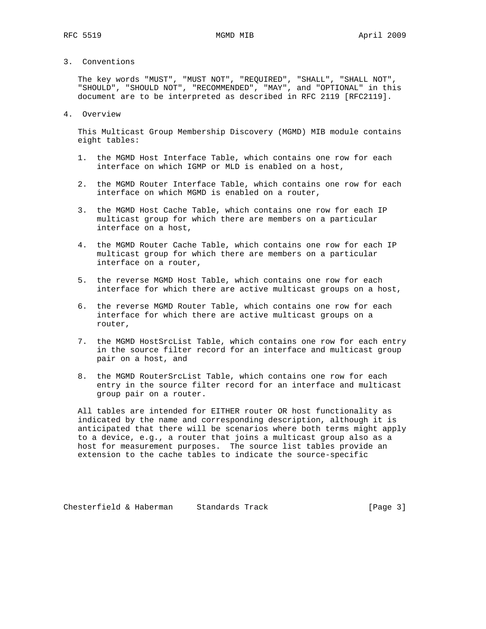# 3. Conventions

 The key words "MUST", "MUST NOT", "REQUIRED", "SHALL", "SHALL NOT", "SHOULD", "SHOULD NOT", "RECOMMENDED", "MAY", and "OPTIONAL" in this document are to be interpreted as described in RFC 2119 [RFC2119].

### 4. Overview

 This Multicast Group Membership Discovery (MGMD) MIB module contains eight tables:

- 1. the MGMD Host Interface Table, which contains one row for each interface on which IGMP or MLD is enabled on a host,
- 2. the MGMD Router Interface Table, which contains one row for each interface on which MGMD is enabled on a router,
- 3. the MGMD Host Cache Table, which contains one row for each IP multicast group for which there are members on a particular interface on a host,
- 4. the MGMD Router Cache Table, which contains one row for each IP multicast group for which there are members on a particular interface on a router,
- 5. the reverse MGMD Host Table, which contains one row for each interface for which there are active multicast groups on a host,
- 6. the reverse MGMD Router Table, which contains one row for each interface for which there are active multicast groups on a router,
- 7. the MGMD HostSrcList Table, which contains one row for each entry in the source filter record for an interface and multicast group pair on a host, and
- 8. the MGMD RouterSrcList Table, which contains one row for each entry in the source filter record for an interface and multicast group pair on a router.

 All tables are intended for EITHER router OR host functionality as indicated by the name and corresponding description, although it is anticipated that there will be scenarios where both terms might apply to a device, e.g., a router that joins a multicast group also as a host for measurement purposes. The source list tables provide an extension to the cache tables to indicate the source-specific

Chesterfield & Haberman Standards Track (Page 3)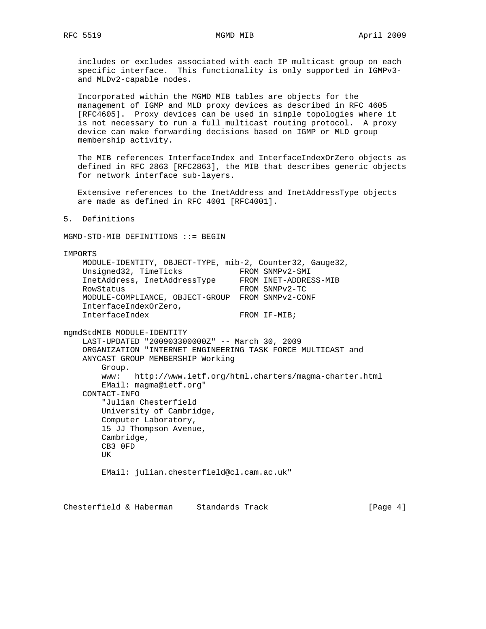includes or excludes associated with each IP multicast group on each specific interface. This functionality is only supported in IGMPv3 and MLDv2-capable nodes.

 Incorporated within the MGMD MIB tables are objects for the management of IGMP and MLD proxy devices as described in RFC 4605 [RFC4605]. Proxy devices can be used in simple topologies where it is not necessary to run a full multicast routing protocol. A proxy device can make forwarding decisions based on IGMP or MLD group membership activity.

 The MIB references InterfaceIndex and InterfaceIndexOrZero objects as defined in RFC 2863 [RFC2863], the MIB that describes generic objects for network interface sub-layers.

 Extensive references to the InetAddress and InetAddressType objects are made as defined in RFC 4001 [RFC4001].

5. Definitions

MGMD-STD-MIB DEFINITIONS ::= BEGIN

IMPORTS MODULE-IDENTITY, OBJECT-TYPE, mib-2, Counter32, Gauge32, Unsigned32, TimeTicks FROM SNMPv2-SMI InetAddress, InetAddressType FROM INET-ADDRESS-MIB RowStatus FROM SNMPv2-TC MODULE-COMPLIANCE, OBJECT-GROUP FROM SNMPv2-CONF InterfaceIndexOrZero, InterfaceIndex FROM IF-MIB; mgmdStdMIB MODULE-IDENTITY LAST-UPDATED "200903300000Z" -- March 30, 2009 ORGANIZATION "INTERNET ENGINEERING TASK FORCE MULTICAST and ANYCAST GROUP MEMBERSHIP Working Group. www: http://www.ietf.org/html.charters/magma-charter.html EMail: magma@ietf.org" CONTACT-INFO "Julian Chesterfield University of Cambridge, Computer Laboratory, 15 JJ Thompson Avenue, Cambridge, CB3 0FD UK EMail: julian.chesterfield@cl.cam.ac.uk"

Chesterfield & Haberman Standards Track [Page 4]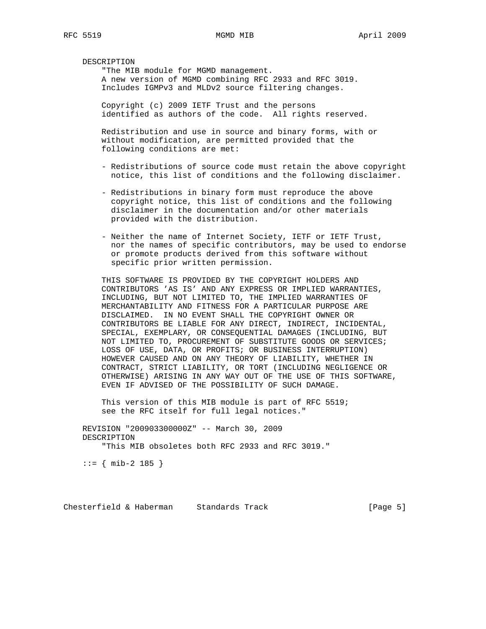DESCRIPTION

 "The MIB module for MGMD management. A new version of MGMD combining RFC 2933 and RFC 3019. Includes IGMPv3 and MLDv2 source filtering changes.

 Copyright (c) 2009 IETF Trust and the persons identified as authors of the code. All rights reserved.

 Redistribution and use in source and binary forms, with or without modification, are permitted provided that the following conditions are met:

- Redistributions of source code must retain the above copyright notice, this list of conditions and the following disclaimer.
- Redistributions in binary form must reproduce the above copyright notice, this list of conditions and the following disclaimer in the documentation and/or other materials provided with the distribution.
- Neither the name of Internet Society, IETF or IETF Trust, nor the names of specific contributors, may be used to endorse or promote products derived from this software without specific prior written permission.

 THIS SOFTWARE IS PROVIDED BY THE COPYRIGHT HOLDERS AND CONTRIBUTORS 'AS IS' AND ANY EXPRESS OR IMPLIED WARRANTIES, INCLUDING, BUT NOT LIMITED TO, THE IMPLIED WARRANTIES OF MERCHANTABILITY AND FITNESS FOR A PARTICULAR PURPOSE ARE DISCLAIMED. IN NO EVENT SHALL THE COPYRIGHT OWNER OR CONTRIBUTORS BE LIABLE FOR ANY DIRECT, INDIRECT, INCIDENTAL, SPECIAL, EXEMPLARY, OR CONSEQUENTIAL DAMAGES (INCLUDING, BUT NOT LIMITED TO, PROCUREMENT OF SUBSTITUTE GOODS OR SERVICES; LOSS OF USE, DATA, OR PROFITS; OR BUSINESS INTERRUPTION) HOWEVER CAUSED AND ON ANY THEORY OF LIABILITY, WHETHER IN CONTRACT, STRICT LIABILITY, OR TORT (INCLUDING NEGLIGENCE OR OTHERWISE) ARISING IN ANY WAY OUT OF THE USE OF THIS SOFTWARE, EVEN IF ADVISED OF THE POSSIBILITY OF SUCH DAMAGE.

 This version of this MIB module is part of RFC 5519; see the RFC itself for full legal notices."

 REVISION "200903300000Z" -- March 30, 2009 DESCRIPTION "This MIB obsoletes both RFC 2933 and RFC 3019."

 $::=$  { mib-2 185 }

Chesterfield & Haberman Standards Track [Page 5]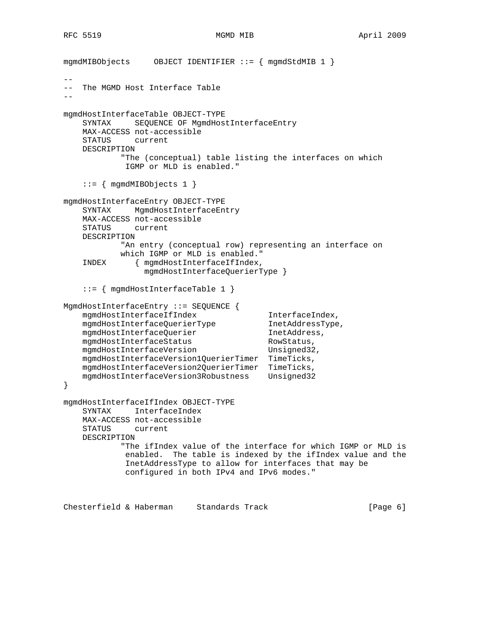```
mgmdMIBObjects OBJECT IDENTIFIER ::= { mgmdStdMIB 1 }
--
   The MGMD Host Interface Table
--
mgmdHostInterfaceTable OBJECT-TYPE
    SYNTAX SEQUENCE OF MgmdHostInterfaceEntry
    MAX-ACCESS not-accessible
    STATUS current
    DESCRIPTION
            "The (conceptual) table listing the interfaces on which
             IGMP or MLD is enabled."
     ::= { mgmdMIBObjects 1 }
mgmdHostInterfaceEntry OBJECT-TYPE
    SYNTAX MgmdHostInterfaceEntry
    MAX-ACCESS not-accessible
    STATUS current
    DESCRIPTION
            "An entry (conceptual row) representing an interface on
            which IGMP or MLD is enabled."
     INDEX { mgmdHostInterfaceIfIndex,
                 mgmdHostInterfaceQuerierType }
     ::= { mgmdHostInterfaceTable 1 }
MgmdHostInterfaceEntry ::= SEQUENCE {
   mgmdHostInterfaceIfIndex InterfaceIndex,
   mgmdHostInterfaceQuerierType InetAddressType,
   mgmdHostInterfaceQuerier 1netAddress,
   mgmdHostInterfaceStatus RowStatus,
   mgmdHostInterfaceVersion Unsigned32,
    mgmdHostInterfaceVersion1QuerierTimer TimeTicks,
   mgmdHostInterfaceVersion2QuerierTimer TimeTicks,<br>mgmdHostInterfaceVersion3Robustness Unsigned32
   mgmdHostInterfaceVersion3Robustness
}
mgmdHostInterfaceIfIndex OBJECT-TYPE
    SYNTAX InterfaceIndex
    MAX-ACCESS not-accessible
    STATUS current
    DESCRIPTION
             "The ifIndex value of the interface for which IGMP or MLD is
             enabled. The table is indexed by the ifIndex value and the
             InetAddressType to allow for interfaces that may be
             configured in both IPv4 and IPv6 modes."
```
Chesterfield & Haberman Standards Track [Page 6]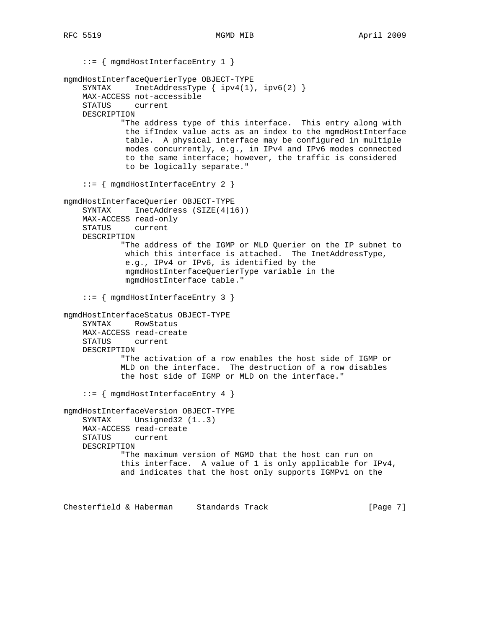::= { mgmdHostInterfaceEntry 1 } mgmdHostInterfaceQuerierType OBJECT-TYPE SYNTAX InetAddressType { ipv4(1), ipv6(2) } MAX-ACCESS not-accessible STATUS current DESCRIPTION "The address type of this interface. This entry along with the ifIndex value acts as an index to the mgmdHostInterface table. A physical interface may be configured in multiple modes concurrently, e.g., in IPv4 and IPv6 modes connected to the same interface; however, the traffic is considered to be logically separate." ::= { mgmdHostInterfaceEntry 2 } mgmdHostInterfaceQuerier OBJECT-TYPE SYNTAX InetAddress (SIZE(4|16)) MAX-ACCESS read-only STATUS current DESCRIPTION "The address of the IGMP or MLD Querier on the IP subnet to which this interface is attached. The InetAddressType, e.g., IPv4 or IPv6, is identified by the mgmdHostInterfaceQuerierType variable in the mgmdHostInterface table." ::= { mgmdHostInterfaceEntry 3 } mgmdHostInterfaceStatus OBJECT-TYPE SYNTAX RowStatus MAX-ACCESS read-create STATUS current DESCRIPTION "The activation of a row enables the host side of IGMP or MLD on the interface. The destruction of a row disables the host side of IGMP or MLD on the interface." ::= { mgmdHostInterfaceEntry 4 } mgmdHostInterfaceVersion OBJECT-TYPE SYNTAX Unsigned32 (1..3) MAX-ACCESS read-create STATUS current DESCRIPTION "The maximum version of MGMD that the host can run on this interface. A value of 1 is only applicable for IPv4, and indicates that the host only supports IGMPv1 on the

Chesterfield & Haberman Standards Track [Page 7]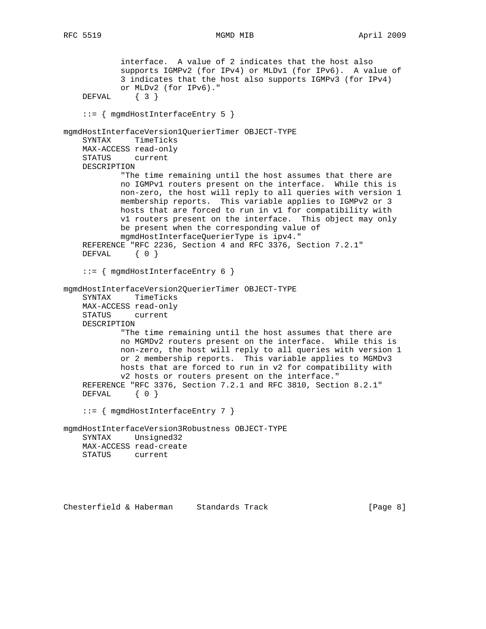```
 interface. A value of 2 indicates that the host also
             supports IGMPv2 (for IPv4) or MLDv1 (for IPv6). A value of
             3 indicates that the host also supports IGMPv3 (for IPv4)
            or MLDv2 (for IPv6)."
     DEFVAL { 3 }
     ::= { mgmdHostInterfaceEntry 5 }
mgmdHostInterfaceVersion1QuerierTimer OBJECT-TYPE
    SYNTAX TimeTicks
    MAX-ACCESS read-only
    STATUS current
    DESCRIPTION
            "The time remaining until the host assumes that there are
            no IGMPv1 routers present on the interface. While this is
            non-zero, the host will reply to all queries with version 1
            membership reports. This variable applies to IGMPv2 or 3
            hosts that are forced to run in v1 for compatibility with
            v1 routers present on the interface. This object may only
            be present when the corresponding value of
            mgmdHostInterfaceQuerierType is ipv4."
     REFERENCE "RFC 2236, Section 4 and RFC 3376, Section 7.2.1"
   DEFVAL { 0 }
     ::= { mgmdHostInterfaceEntry 6 }
mgmdHostInterfaceVersion2QuerierTimer OBJECT-TYPE
     SYNTAX TimeTicks
    MAX-ACCESS read-only
    STATUS current
    DESCRIPTION
            "The time remaining until the host assumes that there are
            no MGMDv2 routers present on the interface. While this is
            non-zero, the host will reply to all queries with version 1
            or 2 membership reports. This variable applies to MGMDv3
            hosts that are forced to run in v2 for compatibility with
            v2 hosts or routers present on the interface."
     REFERENCE "RFC 3376, Section 7.2.1 and RFC 3810, Section 8.2.1"
   DEFVAL { 0 }
     ::= { mgmdHostInterfaceEntry 7 }
mgmdHostInterfaceVersion3Robustness OBJECT-TYPE
    SYNTAX Unsigned32
    MAX-ACCESS read-create
    STATUS current
```
Chesterfield & Haberman Standards Track [Page 8]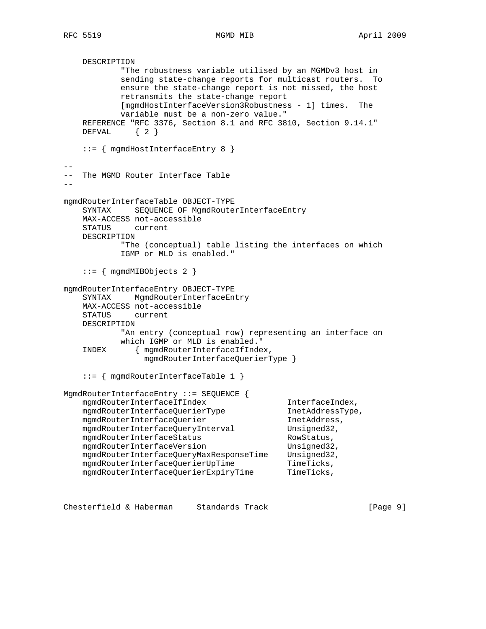```
 DESCRIPTION
            "The robustness variable utilised by an MGMDv3 host in
            sending state-change reports for multicast routers. To
            ensure the state-change report is not missed, the host
            retransmits the state-change report
            [mgmdHostInterfaceVersion3Robustness - 1] times. The
            variable must be a non-zero value."
    REFERENCE "RFC 3376, Section 8.1 and RFC 3810, Section 9.14.1"
    DEFVAL { 2 }
    ::= { mgmdHostInterfaceEntry 8 }
--
-- The MGMD Router Interface Table
--
mgmdRouterInterfaceTable OBJECT-TYPE
    SYNTAX SEQUENCE OF MgmdRouterInterfaceEntry
    MAX-ACCESS not-accessible
    STATUS current
    DESCRIPTION
            "The (conceptual) table listing the interfaces on which
            IGMP or MLD is enabled."
     ::= { mgmdMIBObjects 2 }
mgmdRouterInterfaceEntry OBJECT-TYPE
    SYNTAX MgmdRouterInterfaceEntry
    MAX-ACCESS not-accessible
    STATUS current
    DESCRIPTION
            "An entry (conceptual row) representing an interface on
            which IGMP or MLD is enabled."
     INDEX { mgmdRouterInterfaceIfIndex,
                 mgmdRouterInterfaceQuerierType }
     ::= { mgmdRouterInterfaceTable 1 }
MgmdRouterInterfaceEntry ::= SEQUENCE {
   mgmdRouterInterfaceIfIndex InterfaceIndex,
   mgmdRouterInterfaceQuerierType InetAddressType,
    mgmdRouterInterfaceQuerier InetAddress,
   mgmdRouterInterfaceQueryInterval Unsigned32,
   mgmdRouterInterfaceStatus RowStatus,
   mgmdRouterInterfaceVersion Unsigned32,
    mgmdRouterInterfaceQueryMaxResponseTime Unsigned32,
   mgmdRouterInterfaceQuerierUpTime TimeTicks,
   mgmdRouterInterfaceQuerierExpiryTime TimeTicks,
```
Chesterfield & Haberman Standards Track [Page 9]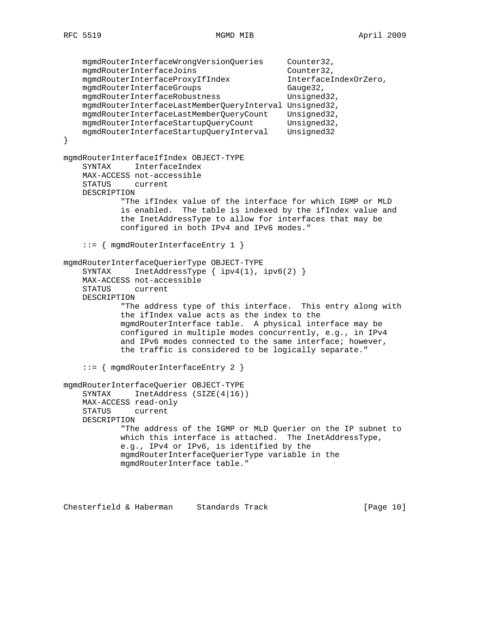```
 mgmdRouterInterfaceWrongVersionQueries Counter32,
   mgmdRouterInterfaceJoins Counter32,
    mgmdRouterInterfaceProxyIfIndex InterfaceIndexOrZero,
   mgmdRouterInterfaceGroups Gauge32,
    mgmdRouterInterfaceRobustness Unsigned32,
    mgmdRouterInterfaceLastMemberQueryInterval Unsigned32,
    mgmdRouterInterfaceLastMemberQueryCount Unsigned32,
    mgmdRouterInterfaceStartupQueryCount Unsigned32,
    mgmdRouterInterfaceStartupQueryInterval Unsigned32
}
mgmdRouterInterfaceIfIndex OBJECT-TYPE
    SYNTAX InterfaceIndex
    MAX-ACCESS not-accessible
    STATUS current
    DESCRIPTION
            "The ifIndex value of the interface for which IGMP or MLD
            is enabled. The table is indexed by the ifIndex value and
            the InetAddressType to allow for interfaces that may be
            configured in both IPv4 and IPv6 modes."
     ::= { mgmdRouterInterfaceEntry 1 }
mgmdRouterInterfaceQuerierType OBJECT-TYPE
   SYNTAX InetAddressType { ipv4(1), ipv6(2) }
    MAX-ACCESS not-accessible
    STATUS current
    DESCRIPTION
            "The address type of this interface. This entry along with
            the ifIndex value acts as the index to the
            mgmdRouterInterface table. A physical interface may be
            configured in multiple modes concurrently, e.g., in IPv4
            and IPv6 modes connected to the same interface; however,
            the traffic is considered to be logically separate."
     ::= { mgmdRouterInterfaceEntry 2 }
mgmdRouterInterfaceQuerier OBJECT-TYPE
    SYNTAX InetAddress (SIZE(4|16))
    MAX-ACCESS read-only
    STATUS current
    DESCRIPTION
            "The address of the IGMP or MLD Querier on the IP subnet to
            which this interface is attached. The InetAddressType,
            e.g., IPv4 or IPv6, is identified by the
            mgmdRouterInterfaceQuerierType variable in the
            mgmdRouterInterface table."
```
Chesterfield & Haberman Standards Track [Page 10]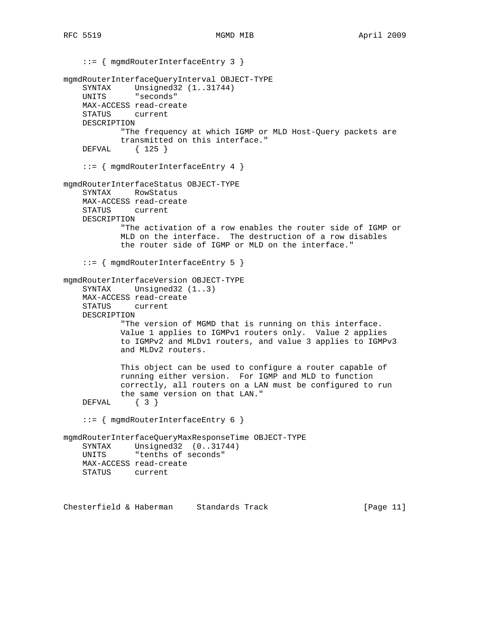```
 ::= { mgmdRouterInterfaceEntry 3 }
mgmdRouterInterfaceQueryInterval OBJECT-TYPE
   SYNTAX Unsigned32 (1..31744)
    UNITS "seconds"
    MAX-ACCESS read-create
    STATUS current
    DESCRIPTION
             "The frequency at which IGMP or MLD Host-Query packets are
             transmitted on this interface."
    DEFVAL { 125 }
     ::= { mgmdRouterInterfaceEntry 4 }
mgmdRouterInterfaceStatus OBJECT-TYPE
     SYNTAX RowStatus
    MAX-ACCESS read-create
    STATUS current
    DESCRIPTION
             "The activation of a row enables the router side of IGMP or
            MLD on the interface. The destruction of a row disables
            the router side of IGMP or MLD on the interface."
     ::= { mgmdRouterInterfaceEntry 5 }
mgmdRouterInterfaceVersion OBJECT-TYPE
     SYNTAX Unsigned32 (1..3)
    MAX-ACCESS read-create
     STATUS current
    DESCRIPTION
             "The version of MGMD that is running on this interface.
            Value 1 applies to IGMPv1 routers only. Value 2 applies
            to IGMPv2 and MLDv1 routers, and value 3 applies to IGMPv3
            and MLDv2 routers.
            This object can be used to configure a router capable of
            running either version. For IGMP and MLD to function
             correctly, all routers on a LAN must be configured to run
            the same version on that LAN."
     DEFVAL { 3 }
     ::= { mgmdRouterInterfaceEntry 6 }
mgmdRouterInterfaceQueryMaxResponseTime OBJECT-TYPE
    SYNTAX Unsigned32 (0..31744)
    UNITS "tenths of seconds"
    MAX-ACCESS read-create
    STATUS current
```
Chesterfield & Haberman Standards Track [Page 11]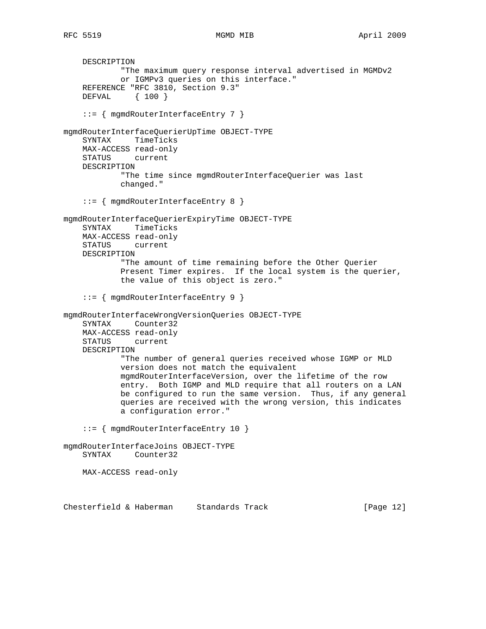DESCRIPTION "The maximum query response interval advertised in MGMDv2 or IGMPv3 queries on this interface." REFERENCE "RFC 3810, Section 9.3" DEFVAL { 100 } ::= { mgmdRouterInterfaceEntry 7 } mgmdRouterInterfaceQuerierUpTime OBJECT-TYPE SYNTAX TimeTicks MAX-ACCESS read-only STATUS current DESCRIPTION "The time since mgmdRouterInterfaceQuerier was last changed." ::= { mgmdRouterInterfaceEntry 8 } mgmdRouterInterfaceQuerierExpiryTime OBJECT-TYPE SYNTAX TimeTicks MAX-ACCESS read-only STATUS current DESCRIPTION "The amount of time remaining before the Other Querier Present Timer expires. If the local system is the querier, the value of this object is zero." ::= { mgmdRouterInterfaceEntry 9 } mgmdRouterInterfaceWrongVersionQueries OBJECT-TYPE SYNTAX Counter32 MAX-ACCESS read-only STATUS current DESCRIPTION "The number of general queries received whose IGMP or MLD version does not match the equivalent mgmdRouterInterfaceVersion, over the lifetime of the row entry. Both IGMP and MLD require that all routers on a LAN be configured to run the same version. Thus, if any general queries are received with the wrong version, this indicates a configuration error." ::= { mgmdRouterInterfaceEntry 10 } mgmdRouterInterfaceJoins OBJECT-TYPE SYNTAX Counter32 MAX-ACCESS read-only

Chesterfield & Haberman Standards Track [Page 12]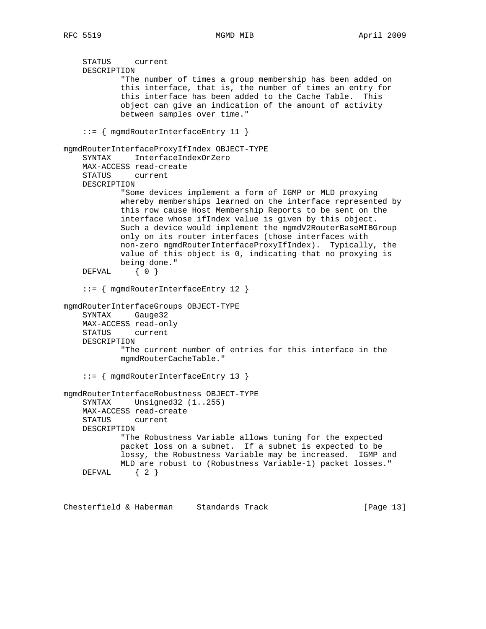```
 STATUS current
     DESCRIPTION
             "The number of times a group membership has been added on
             this interface, that is, the number of times an entry for
             this interface has been added to the Cache Table. This
             object can give an indication of the amount of activity
             between samples over time."
     ::= { mgmdRouterInterfaceEntry 11 }
mgmdRouterInterfaceProxyIfIndex OBJECT-TYPE
    SYNTAX InterfaceIndexOrZero
    MAX-ACCESS read-create
     STATUS current
    DESCRIPTION
             "Some devices implement a form of IGMP or MLD proxying
             whereby memberships learned on the interface represented by
             this row cause Host Membership Reports to be sent on the
             interface whose ifIndex value is given by this object.
             Such a device would implement the mgmdV2RouterBaseMIBGroup
             only on its router interfaces (those interfaces with
            non-zero mgmdRouterInterfaceProxyIfIndex). Typically, the
             value of this object is 0, indicating that no proxying is
            being done."
   DEFVAL { 0 }
     ::= { mgmdRouterInterfaceEntry 12 }
mgmdRouterInterfaceGroups OBJECT-TYPE
    SYNTAX Gauge32
    MAX-ACCESS read-only
    STATUS current
    DESCRIPTION
             "The current number of entries for this interface in the
             mgmdRouterCacheTable."
     ::= { mgmdRouterInterfaceEntry 13 }
mgmdRouterInterfaceRobustness OBJECT-TYPE
     SYNTAX Unsigned32 (1..255)
    MAX-ACCESS read-create
    STATUS current
    DESCRIPTION
             "The Robustness Variable allows tuning for the expected
            packet loss on a subnet. If a subnet is expected to be
            lossy, the Robustness Variable may be increased. IGMP and
            MLD are robust to (Robustness Variable-1) packet losses."
    DEFVAL { 2 }
```
Chesterfield & Haberman Standards Track [Page 13]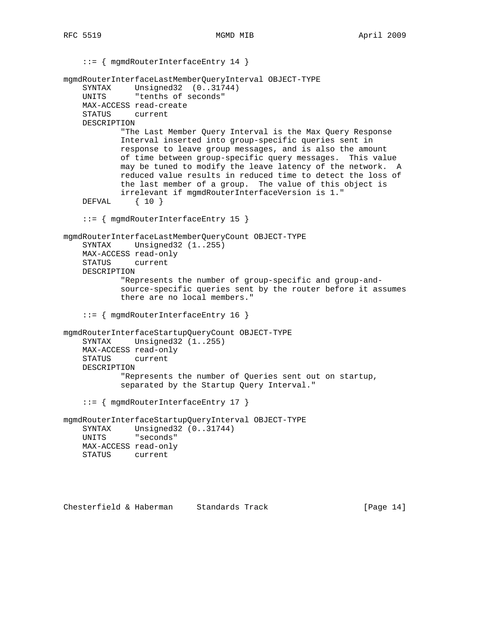::= { mgmdRouterInterfaceEntry 14 } mgmdRouterInterfaceLastMemberQueryInterval OBJECT-TYPE SYNTAX Unsigned32 (0..31744) UNITS "tenths of seconds" MAX-ACCESS read-create STATUS current DESCRIPTION "The Last Member Query Interval is the Max Query Response Interval inserted into group-specific queries sent in response to leave group messages, and is also the amount of time between group-specific query messages. This value may be tuned to modify the leave latency of the network. A reduced value results in reduced time to detect the loss of the last member of a group. The value of this object is irrelevant if mgmdRouterInterfaceVersion is 1." DEFVAL { 10 } ::= { mgmdRouterInterfaceEntry 15 } mgmdRouterInterfaceLastMemberQueryCount OBJECT-TYPE SYNTAX Unsigned32 (1..255) MAX-ACCESS read-only STATUS current DESCRIPTION "Represents the number of group-specific and group-and source-specific queries sent by the router before it assumes there are no local members." ::= { mgmdRouterInterfaceEntry 16 } mgmdRouterInterfaceStartupQueryCount OBJECT-TYPE SYNTAX Unsigned32 (1..255) MAX-ACCESS read-only STATUS current DESCRIPTION "Represents the number of Queries sent out on startup, separated by the Startup Query Interval." ::= { mgmdRouterInterfaceEntry 17 } mgmdRouterInterfaceStartupQueryInterval OBJECT-TYPE SYNTAX Unsigned32 (0..31744) UNITS "seconds" MAX-ACCESS read-only STATUS current

Chesterfield & Haberman Standards Track [Page 14]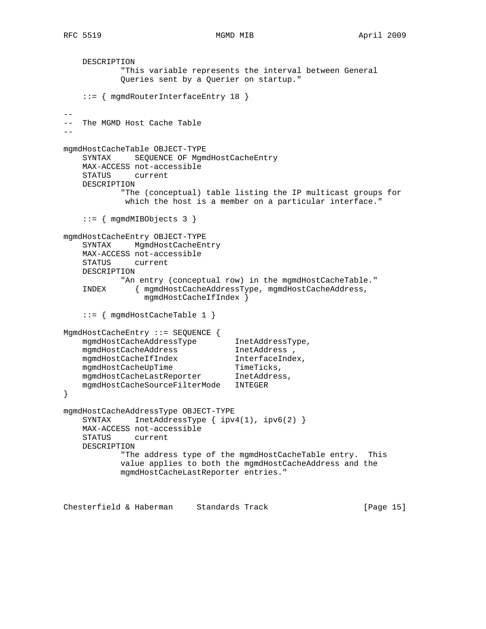```
 DESCRIPTION
            "This variable represents the interval between General
            Queries sent by a Querier on startup."
     ::= { mgmdRouterInterfaceEntry 18 }
- --- The MGMD Host Cache Table
--
mgmdHostCacheTable OBJECT-TYPE
    SYNTAX SEQUENCE OF MgmdHostCacheEntry
    MAX-ACCESS not-accessible
    STATUS current
    DESCRIPTION
            "The (conceptual) table listing the IP multicast groups for
            which the host is a member on a particular interface."
     ::= { mgmdMIBObjects 3 }
mgmdHostCacheEntry OBJECT-TYPE
    SYNTAX MgmdHostCacheEntry
    MAX-ACCESS not-accessible
    STATUS current
    DESCRIPTION
           "An entry (conceptual row) in the mgmdHostCacheTable."
     INDEX { mgmdHostCacheAddressType, mgmdHostCacheAddress,
                 mgmdHostCacheIfIndex }
     ::= { mgmdHostCacheTable 1 }
MgmdHostCacheEntry ::= SEQUENCE {
   mgmdHostCacheAddressType InetAddressType,
 mgmdHostCacheAddress InetAddress ,
 mgmdHostCacheIfIndex InterfaceIndex,
mgmdHostCacheUpTime TimeTicks,
    mgmdHostCacheLastReporter InetAddress,
    mgmdHostCacheSourceFilterMode INTEGER
}
mgmdHostCacheAddressType OBJECT-TYPE
   SYNTAX InetAddressType { ipv4(1), ipv6(2) }
    MAX-ACCESS not-accessible
    STATUS current
    DESCRIPTION
            "The address type of the mgmdHostCacheTable entry. This
            value applies to both the mgmdHostCacheAddress and the
            mgmdHostCacheLastReporter entries."
```
Chesterfield & Haberman Standards Track [Page 15]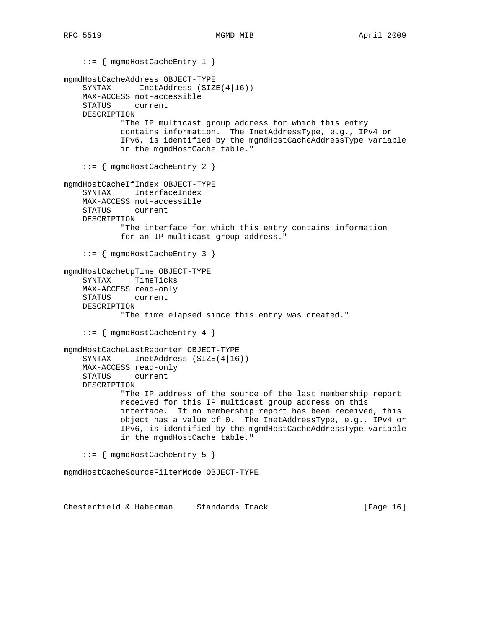::= { mgmdHostCacheEntry 1 } mgmdHostCacheAddress OBJECT-TYPE SYNTAX InetAddress (SIZE(4|16)) MAX-ACCESS not-accessible STATUS current DESCRIPTION "The IP multicast group address for which this entry contains information. The InetAddressType, e.g., IPv4 or IPv6, is identified by the mgmdHostCacheAddressType variable in the mgmdHostCache table." ::= { mgmdHostCacheEntry 2 } mgmdHostCacheIfIndex OBJECT-TYPE SYNTAX InterfaceIndex MAX-ACCESS not-accessible STATUS current DESCRIPTION "The interface for which this entry contains information for an IP multicast group address." ::= { mgmdHostCacheEntry 3 } mgmdHostCacheUpTime OBJECT-TYPE SYNTAX TimeTicks MAX-ACCESS read-only STATUS current DESCRIPTION "The time elapsed since this entry was created." ::= { mgmdHostCacheEntry 4 } mgmdHostCacheLastReporter OBJECT-TYPE SYNTAX InetAddress (SIZE(4|16)) MAX-ACCESS read-only STATUS current DESCRIPTION "The IP address of the source of the last membership report received for this IP multicast group address on this interface. If no membership report has been received, this object has a value of 0. The InetAddressType, e.g., IPv4 or IPv6, is identified by the mgmdHostCacheAddressType variable in the mgmdHostCache table." ::= { mgmdHostCacheEntry 5 } mgmdHostCacheSourceFilterMode OBJECT-TYPE

Chesterfield & Haberman Standards Track [Page 16]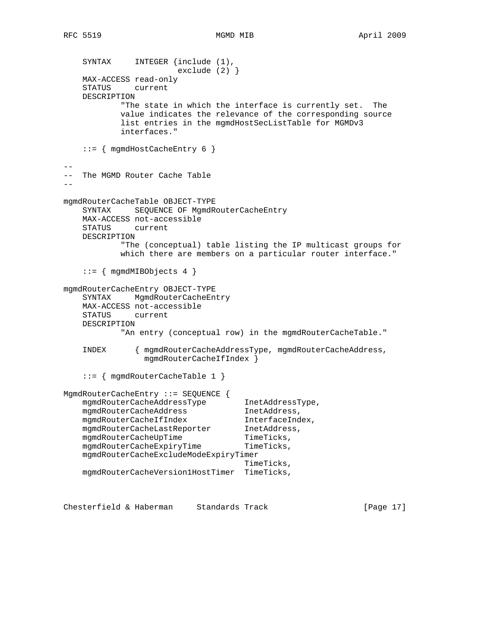SYNTAX INTEGER {include (1), exclude (2) } MAX-ACCESS read-only STATUS current DESCRIPTION "The state in which the interface is currently set. The value indicates the relevance of the corresponding source list entries in the mgmdHostSecListTable for MGMDv3 interfaces." ::= { mgmdHostCacheEntry 6 } -- -- The MGMD Router Cache Table - mgmdRouterCacheTable OBJECT-TYPE SYNTAX SEQUENCE OF MgmdRouterCacheEntry MAX-ACCESS not-accessible STATUS current DESCRIPTION "The (conceptual) table listing the IP multicast groups for which there are members on a particular router interface." ::= { mgmdMIBObjects 4 } mgmdRouterCacheEntry OBJECT-TYPE SYNTAX MgmdRouterCacheEntry MAX-ACCESS not-accessible STATUS current DESCRIPTION "An entry (conceptual row) in the mgmdRouterCacheTable." INDEX { mgmdRouterCacheAddressType, mgmdRouterCacheAddress, mgmdRouterCacheIfIndex } ::= { mgmdRouterCacheTable 1 } MgmdRouterCacheEntry ::= SEQUENCE { mgmdRouterCacheAddressType InetAddressType, mgmdRouterCacheAddress inetAddress, mgmdRouterCacheIfIndex InterfaceIndex, mgmdRouterCacheLastReporter InetAddress, mgmdRouterCacheUpTime TimeTicks, mgmdRouterCacheExpiryTime TimeTicks, mgmdRouterCacheExcludeModeExpiryTimer TimeTicks, mgmdRouterCacheVersion1HostTimer TimeTicks,

Chesterfield & Haberman Standards Track [Page 17]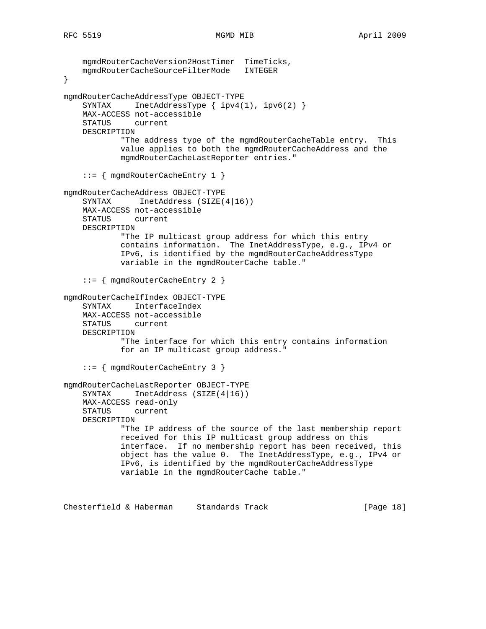```
 mgmdRouterCacheVersion2HostTimer TimeTicks,
    mgmdRouterCacheSourceFilterMode INTEGER
}
mgmdRouterCacheAddressType OBJECT-TYPE
    SYNTAX InetAddressType { ipv4(1), ipv6(2) }
    MAX-ACCESS not-accessible
     STATUS current
     DESCRIPTION
             "The address type of the mgmdRouterCacheTable entry. This
             value applies to both the mgmdRouterCacheAddress and the
             mgmdRouterCacheLastReporter entries."
     ::= { mgmdRouterCacheEntry 1 }
mgmdRouterCacheAddress OBJECT-TYPE
    SYNTAX InetAddress (SIZE(4|16))
     MAX-ACCESS not-accessible
     STATUS current
     DESCRIPTION
             "The IP multicast group address for which this entry
             contains information. The InetAddressType, e.g., IPv4 or
             IPv6, is identified by the mgmdRouterCacheAddressType
             variable in the mgmdRouterCache table."
     ::= { mgmdRouterCacheEntry 2 }
mgmdRouterCacheIfIndex OBJECT-TYPE
     SYNTAX InterfaceIndex
     MAX-ACCESS not-accessible
     STATUS current
     DESCRIPTION
             "The interface for which this entry contains information
             for an IP multicast group address."
     ::= { mgmdRouterCacheEntry 3 }
mgmdRouterCacheLastReporter OBJECT-TYPE
     SYNTAX InetAddress (SIZE(4|16))
     MAX-ACCESS read-only
     STATUS current
     DESCRIPTION
             "The IP address of the source of the last membership report
             received for this IP multicast group address on this
             interface. If no membership report has been received, this
             object has the value 0. The InetAddressType, e.g., IPv4 or
             IPv6, is identified by the mgmdRouterCacheAddressType
             variable in the mgmdRouterCache table."
```
Chesterfield & Haberman Standards Track [Page 18]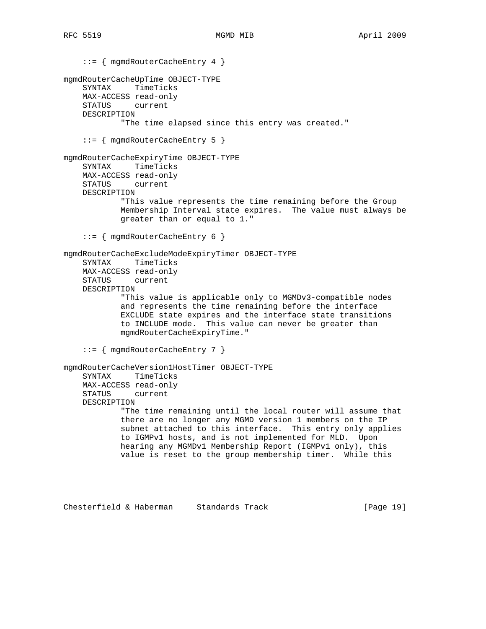```
 ::= { mgmdRouterCacheEntry 4 }
mgmdRouterCacheUpTime OBJECT-TYPE
    SYNTAX TimeTicks
    MAX-ACCESS read-only
    STATUS current
    DESCRIPTION
             "The time elapsed since this entry was created."
     ::= { mgmdRouterCacheEntry 5 }
mgmdRouterCacheExpiryTime OBJECT-TYPE
     SYNTAX TimeTicks
    MAX-ACCESS read-only
    STATUS current
    DESCRIPTION
             "This value represents the time remaining before the Group
             Membership Interval state expires. The value must always be
             greater than or equal to 1."
     ::= { mgmdRouterCacheEntry 6 }
mgmdRouterCacheExcludeModeExpiryTimer OBJECT-TYPE
     SYNTAX TimeTicks
    MAX-ACCESS read-only
    STATUS current
    DESCRIPTION
             "This value is applicable only to MGMDv3-compatible nodes
             and represents the time remaining before the interface
             EXCLUDE state expires and the interface state transitions
             to INCLUDE mode. This value can never be greater than
             mgmdRouterCacheExpiryTime."
     ::= { mgmdRouterCacheEntry 7 }
mgmdRouterCacheVersion1HostTimer OBJECT-TYPE
     SYNTAX TimeTicks
    MAX-ACCESS read-only
    STATUS current
    DESCRIPTION
             "The time remaining until the local router will assume that
             there are no longer any MGMD version 1 members on the IP
             subnet attached to this interface. This entry only applies
             to IGMPv1 hosts, and is not implemented for MLD. Upon
            hearing any MGMDv1 Membership Report (IGMPv1 only), this
             value is reset to the group membership timer. While this
```
Chesterfield & Haberman Standards Track [Page 19]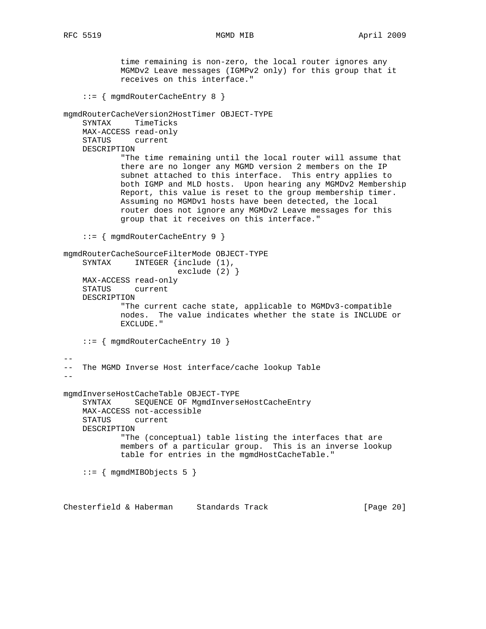time remaining is non-zero, the local router ignores any MGMDv2 Leave messages (IGMPv2 only) for this group that it receives on this interface." ::= { mgmdRouterCacheEntry 8 } mgmdRouterCacheVersion2HostTimer OBJECT-TYPE SYNTAX TimeTicks MAX-ACCESS read-only STATUS current DESCRIPTION "The time remaining until the local router will assume that there are no longer any MGMD version 2 members on the IP subnet attached to this interface. This entry applies to both IGMP and MLD hosts. Upon hearing any MGMDv2 Membership Report, this value is reset to the group membership timer. Assuming no MGMDv1 hosts have been detected, the local router does not ignore any MGMDv2 Leave messages for this group that it receives on this interface." ::= { mgmdRouterCacheEntry 9 } mgmdRouterCacheSourceFilterMode OBJECT-TYPE SYNTAX INTEGER {include (1), exclude (2) } MAX-ACCESS read-only STATUS current DESCRIPTION "The current cache state, applicable to MGMDv3-compatible nodes. The value indicates whether the state is INCLUDE or EXCLUDE." ::= { mgmdRouterCacheEntry 10 }  $- -$ -- The MGMD Inverse Host interface/cache lookup Table - mgmdInverseHostCacheTable OBJECT-TYPE SYNTAX SEQUENCE OF MgmdInverseHostCacheEntry MAX-ACCESS not-accessible STATUS current DESCRIPTION "The (conceptual) table listing the interfaces that are members of a particular group. This is an inverse lookup table for entries in the mgmdHostCacheTable." ::= { mgmdMIBObjects 5 }

Chesterfield & Haberman Standards Track [Page 20]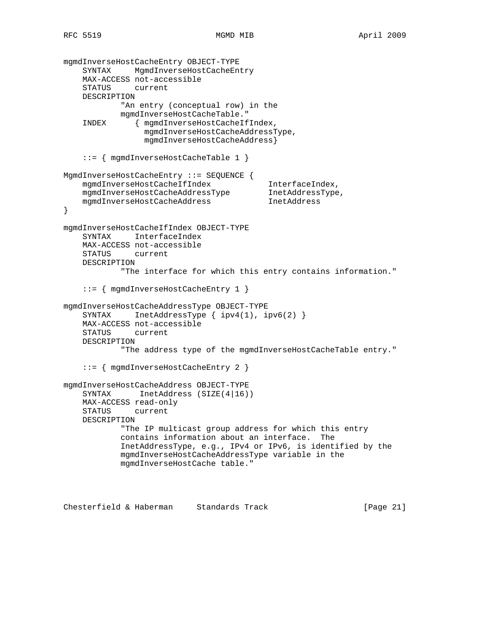```
mgmdInverseHostCacheEntry OBJECT-TYPE
     SYNTAX MgmdInverseHostCacheEntry
    MAX-ACCESS not-accessible
     STATUS current
    DESCRIPTION
             "An entry (conceptual row) in the
             mgmdInverseHostCacheTable."
     INDEX { mgmdInverseHostCacheIfIndex,
                  mgmdInverseHostCacheAddressType,
                  mgmdInverseHostCacheAddress}
     ::= { mgmdInverseHostCacheTable 1 }
MgmdInverseHostCacheEntry ::= SEQUENCE {
    mgmdInverseHostCacheIfIndex InterfaceIndex,<br>mgmdInverseHostCacheAddressType InetAddressType,
   mgmdInverseHostCacheAddressType
    mgmdInverseHostCacheAddress InetAddress
}
mgmdInverseHostCacheIfIndex OBJECT-TYPE
    SYNTAX InterfaceIndex
    MAX-ACCESS not-accessible
    STATUS current
    DESCRIPTION
             "The interface for which this entry contains information."
     ::= { mgmdInverseHostCacheEntry 1 }
mgmdInverseHostCacheAddressType OBJECT-TYPE
    SYNTAX InetAddressType { ipv4(1), ipv6(2) }
    MAX-ACCESS not-accessible
    STATUS current
    DESCRIPTION
             "The address type of the mgmdInverseHostCacheTable entry."
     ::= { mgmdInverseHostCacheEntry 2 }
mgmdInverseHostCacheAddress OBJECT-TYPE
    SYNTAX InetAddress (SIZE(4|16))
    MAX-ACCESS read-only
    STATUS current
    DESCRIPTION
             "The IP multicast group address for which this entry
             contains information about an interface. The
             InetAddressType, e.g., IPv4 or IPv6, is identified by the
             mgmdInverseHostCacheAddressType variable in the
             mgmdInverseHostCache table."
```
Chesterfield & Haberman Standards Track [Page 21]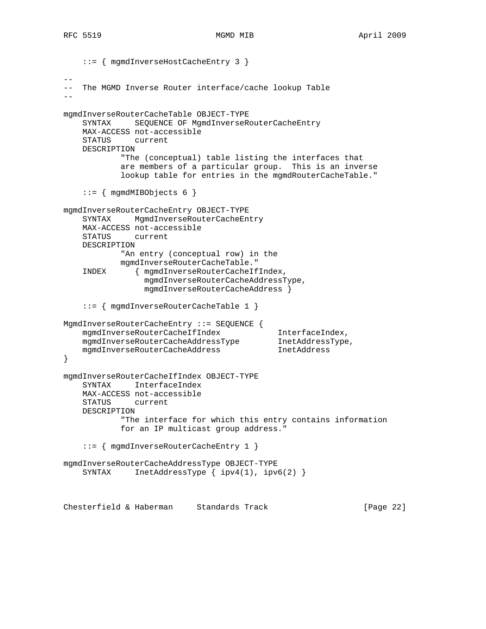```
 ::= { mgmdInverseHostCacheEntry 3 }
--
   The MGMD Inverse Router interface/cache lookup Table
--
mgmdInverseRouterCacheTable OBJECT-TYPE
    SYNTAX SEQUENCE OF MgmdInverseRouterCacheEntry
    MAX-ACCESS not-accessible
    STATUS current
    DESCRIPTION
             "The (conceptual) table listing the interfaces that
            are members of a particular group. This is an inverse
             lookup table for entries in the mgmdRouterCacheTable."
     ::= { mgmdMIBObjects 6 }
mgmdInverseRouterCacheEntry OBJECT-TYPE
    SYNTAX MgmdInverseRouterCacheEntry
    MAX-ACCESS not-accessible
    STATUS current
    DESCRIPTION
             "An entry (conceptual row) in the
            mgmdInverseRouterCacheTable."
     INDEX { mgmdInverseRouterCacheIfIndex,
                 mgmdInverseRouterCacheAddressType,
                 mgmdInverseRouterCacheAddress }
     ::= { mgmdInverseRouterCacheTable 1 }
MgmdInverseRouterCacheEntry ::= SEQUENCE {
    mgmdInverseRouterCacheIfIndex InterfaceIndex,
   mgmdInverseRouterCacheAddressType
    mgmdInverseRouterCacheAddress InetAddress
}
mgmdInverseRouterCacheIfIndex OBJECT-TYPE
     SYNTAX InterfaceIndex
    MAX-ACCESS not-accessible
     STATUS current
    DESCRIPTION
             "The interface for which this entry contains information
            for an IP multicast group address."
     ::= { mgmdInverseRouterCacheEntry 1 }
mgmdInverseRouterCacheAddressType OBJECT-TYPE
    SYNTAX InetAddressType { ipv4(1), ipv6(2) }
```
Chesterfield & Haberman Standards Track [Page 22]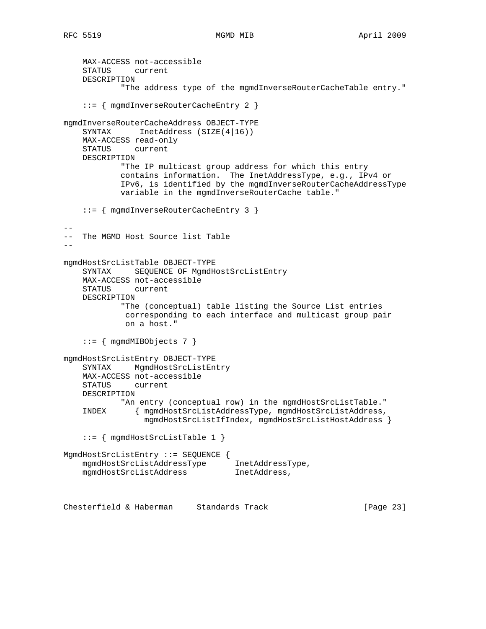```
 MAX-ACCESS not-accessible
     STATUS current
    DESCRIPTION
             "The address type of the mgmdInverseRouterCacheTable entry."
     ::= { mgmdInverseRouterCacheEntry 2 }
mgmdInverseRouterCacheAddress OBJECT-TYPE
    SYNTAX InetAddress (SIZE(4|16))
    MAX-ACCESS read-only
    STATUS current
    DESCRIPTION
            "The IP multicast group address for which this entry
            contains information. The InetAddressType, e.g., IPv4 or
            IPv6, is identified by the mgmdInverseRouterCacheAddressType
            variable in the mgmdInverseRouterCache table."
     ::= { mgmdInverseRouterCacheEntry 3 }
--
-- The MGMD Host Source list Table
--
mgmdHostSrcListTable OBJECT-TYPE
     SYNTAX SEQUENCE OF MgmdHostSrcListEntry
    MAX-ACCESS not-accessible
    STATUS current
    DESCRIPTION
             "The (conceptual) table listing the Source List entries
             corresponding to each interface and multicast group pair
             on a host."
     ::= { mgmdMIBObjects 7 }
mgmdHostSrcListEntry OBJECT-TYPE
   SYNTAX MgmdHostSrcListEntry
    MAX-ACCESS not-accessible
     STATUS current
    DESCRIPTION
            "An entry (conceptual row) in the mgmdHostSrcListTable."
     INDEX { mgmdHostSrcListAddressType, mgmdHostSrcListAddress,
                 mgmdHostSrcListIfIndex, mgmdHostSrcListHostAddress }
     ::= { mgmdHostSrcListTable 1 }
MgmdHostSrcListEntry ::= SEQUENCE {
 mgmdHostSrcListAddressType InetAddressType,
 mgmdHostSrcListAddress InetAddress,
Chesterfield & Haberman Standards Track [Page 23]
```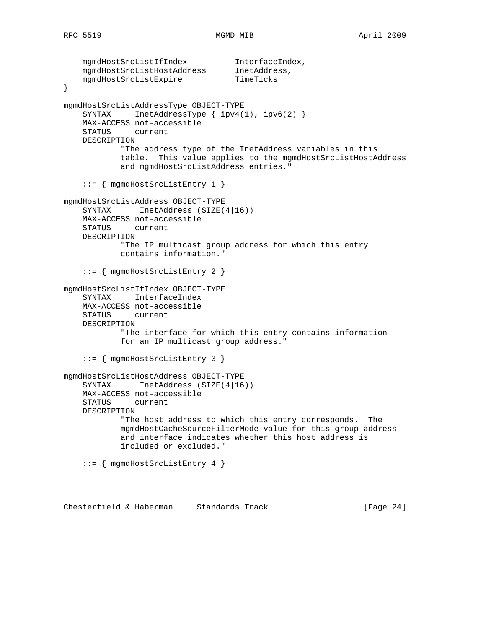```
 mgmdHostSrcListIfIndex InterfaceIndex,
 mgmdHostSrcListHostAddress InetAddress,
mgmdHostSrcListExpire TimeTicks
}
mgmdHostSrcListAddressType OBJECT-TYPE
   SYNTAX InetAddressType { ipv4(1), ipv6(2) }
    MAX-ACCESS not-accessible
    STATUS current
    DESCRIPTION
            "The address type of the InetAddress variables in this
            table. This value applies to the mgmdHostSrcListHostAddress
            and mgmdHostSrcListAddress entries."
     ::= { mgmdHostSrcListEntry 1 }
mgmdHostSrcListAddress OBJECT-TYPE
   SYNTAX InetAddress (SIZE(4|16))
    MAX-ACCESS not-accessible
    STATUS current
    DESCRIPTION
            "The IP multicast group address for which this entry
            contains information."
     ::= { mgmdHostSrcListEntry 2 }
mgmdHostSrcListIfIndex OBJECT-TYPE
    SYNTAX InterfaceIndex
    MAX-ACCESS not-accessible
    STATUS current
    DESCRIPTION
            "The interface for which this entry contains information
            for an IP multicast group address."
     ::= { mgmdHostSrcListEntry 3 }
mgmdHostSrcListHostAddress OBJECT-TYPE
   SYNTAX InetAddress (SIZE(4|16))
    MAX-ACCESS not-accessible
    STATUS current
    DESCRIPTION
            "The host address to which this entry corresponds. The
            mgmdHostCacheSourceFilterMode value for this group address
            and interface indicates whether this host address is
            included or excluded."
     ::= { mgmdHostSrcListEntry 4 }
```
Chesterfield & Haberman Standards Track [Page 24]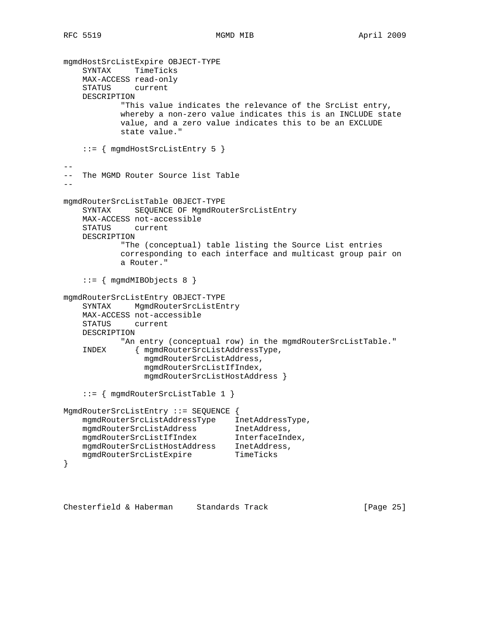```
mgmdHostSrcListExpire OBJECT-TYPE
     SYNTAX TimeTicks
    MAX-ACCESS read-only
     STATUS current
    DESCRIPTION
            "This value indicates the relevance of the SrcList entry,
            whereby a non-zero value indicates this is an INCLUDE state
            value, and a zero value indicates this to be an EXCLUDE
            state value."
     ::= { mgmdHostSrcListEntry 5 }
--
-- The MGMD Router Source list Table
--
mgmdRouterSrcListTable OBJECT-TYPE
    SYNTAX SEQUENCE OF MgmdRouterSrcListEntry
    MAX-ACCESS not-accessible
    STATUS current
    DESCRIPTION
            "The (conceptual) table listing the Source List entries
            corresponding to each interface and multicast group pair on
            a Router."
     ::= { mgmdMIBObjects 8 }
mgmdRouterSrcListEntry OBJECT-TYPE
    SYNTAX MgmdRouterSrcListEntry
    MAX-ACCESS not-accessible
    STATUS current
    DESCRIPTION
            "An entry (conceptual row) in the mgmdRouterSrcListTable."
     INDEX { mgmdRouterSrcListAddressType,
                 mgmdRouterSrcListAddress,
                 mgmdRouterSrcListIfIndex,
                 mgmdRouterSrcListHostAddress }
     ::= { mgmdRouterSrcListTable 1 }
MgmdRouterSrcListEntry ::= SEQUENCE {
    mgmdRouterSrcListAddressType InetAddressType,
 mgmdRouterSrcListAddress InetAddress,
 mgmdRouterSrcListIfIndex InterfaceIndex,
 mgmdRouterSrcListHostAddress InetAddress,
mgmdRouterSrcListExpire TimeTicks
}
```
Chesterfield & Haberman Standards Track [Page 25]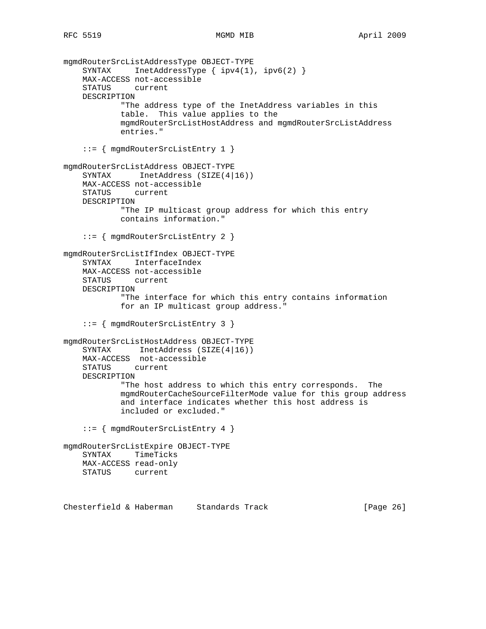```
mgmdRouterSrcListAddressType OBJECT-TYPE
    SYNTAX InetAddressType { ipv4(1), ipv6(2) }
    MAX-ACCESS not-accessible
     STATUS current
    DESCRIPTION
             "The address type of the InetAddress variables in this
            table. This value applies to the
            mgmdRouterSrcListHostAddress and mgmdRouterSrcListAddress
            entries."
     ::= { mgmdRouterSrcListEntry 1 }
mgmdRouterSrcListAddress OBJECT-TYPE
    SYNTAX InetAddress (SIZE(4|16))
    MAX-ACCESS not-accessible
     STATUS current
    DESCRIPTION
            "The IP multicast group address for which this entry
            contains information."
     ::= { mgmdRouterSrcListEntry 2 }
mgmdRouterSrcListIfIndex OBJECT-TYPE
     SYNTAX InterfaceIndex
    MAX-ACCESS not-accessible
    STATUS current
    DESCRIPTION
             "The interface for which this entry contains information
            for an IP multicast group address."
     ::= { mgmdRouterSrcListEntry 3 }
mgmdRouterSrcListHostAddress OBJECT-TYPE
     SYNTAX InetAddress (SIZE(4|16))
    MAX-ACCESS not-accessible
    STATUS current
    DESCRIPTION
             "The host address to which this entry corresponds. The
            mgmdRouterCacheSourceFilterMode value for this group address
             and interface indicates whether this host address is
            included or excluded."
     ::= { mgmdRouterSrcListEntry 4 }
mgmdRouterSrcListExpire OBJECT-TYPE
    SYNTAX TimeTicks
    MAX-ACCESS read-only
    STATUS current
```
Chesterfield & Haberman Standards Track [Page 26]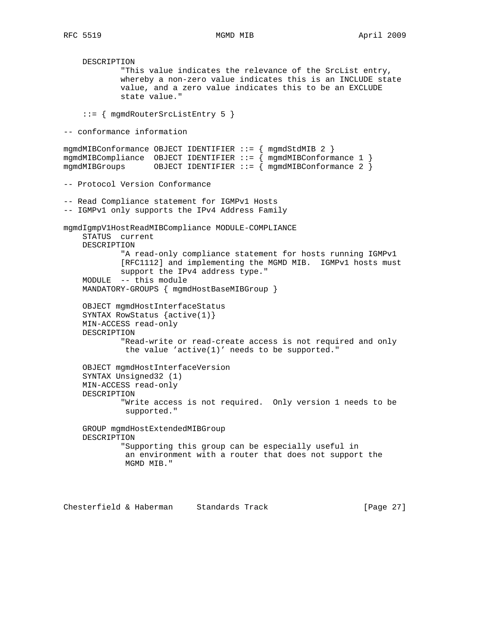DESCRIPTION "This value indicates the relevance of the SrcList entry, whereby a non-zero value indicates this is an INCLUDE state value, and a zero value indicates this to be an EXCLUDE state value." ::= { mgmdRouterSrcListEntry 5 } -- conformance information mgmdMIBConformance OBJECT IDENTIFIER ::= { mgmdStdMIB 2 } mgmdMIBCompliance OBJECT IDENTIFIER ::= { mgmdMIBConformance 1 } mgmdMIBGroups  $OBIECT IDENTIFIER :: = \{ mgmdMIBConformance 2 \}$ -- Protocol Version Conformance -- Read Compliance statement for IGMPv1 Hosts -- IGMPv1 only supports the IPv4 Address Family mgmdIgmpV1HostReadMIBCompliance MODULE-COMPLIANCE STATUS current DESCRIPTION "A read-only compliance statement for hosts running IGMPv1 [RFC1112] and implementing the MGMD MIB. IGMPv1 hosts must support the IPv4 address type." MODULE -- this module MANDATORY-GROUPS { mgmdHostBaseMIBGroup } OBJECT mgmdHostInterfaceStatus SYNTAX RowStatus {active(1)} MIN-ACCESS read-only DESCRIPTION "Read-write or read-create access is not required and only the value 'active(1)' needs to be supported." OBJECT mgmdHostInterfaceVersion SYNTAX Unsigned32 (1) MIN-ACCESS read-only DESCRIPTION "Write access is not required. Only version 1 needs to be supported." GROUP mgmdHostExtendedMIBGroup DESCRIPTION "Supporting this group can be especially useful in an environment with a router that does not support the MGMD MIB."

Chesterfield & Haberman Standards Track [Page 27]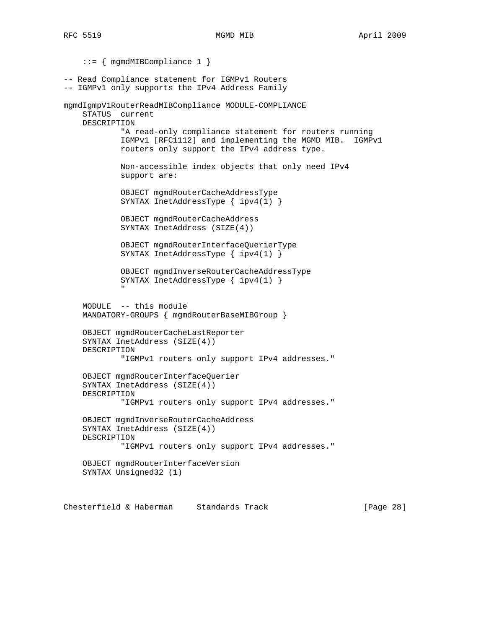::= { mgmdMIBCompliance 1 } -- Read Compliance statement for IGMPv1 Routers -- IGMPv1 only supports the IPv4 Address Family mgmdIgmpV1RouterReadMIBCompliance MODULE-COMPLIANCE STATUS current DESCRIPTION "A read-only compliance statement for routers running IGMPv1 [RFC1112] and implementing the MGMD MIB. IGMPv1 routers only support the IPv4 address type. Non-accessible index objects that only need IPv4 support are: OBJECT mgmdRouterCacheAddressType SYNTAX InetAddressType { ipv4(1) } OBJECT mgmdRouterCacheAddress SYNTAX InetAddress (SIZE(4)) OBJECT mgmdRouterInterfaceQuerierType SYNTAX InetAddressType { ipv4(1) } OBJECT mgmdInverseRouterCacheAddressType SYNTAX InetAddressType { ipv4(1) } " "The Contract of the Contract of the Contract of the Contract of the Contract of the Contract of the Contract of the Contract of the Contract of the Contract of the Contract of the Contract of the Contract of the Contrac MODULE -- this module MANDATORY-GROUPS { mgmdRouterBaseMIBGroup } OBJECT mgmdRouterCacheLastReporter SYNTAX InetAddress (SIZE(4)) DESCRIPTION "IGMPv1 routers only support IPv4 addresses." OBJECT mgmdRouterInterfaceQuerier SYNTAX InetAddress (SIZE(4)) DESCRIPTION "IGMPv1 routers only support IPv4 addresses." OBJECT mgmdInverseRouterCacheAddress SYNTAX InetAddress (SIZE(4)) DESCRIPTION "IGMPv1 routers only support IPv4 addresses." OBJECT mgmdRouterInterfaceVersion SYNTAX Unsigned32 (1)

Chesterfield & Haberman Standards Track [Page 28]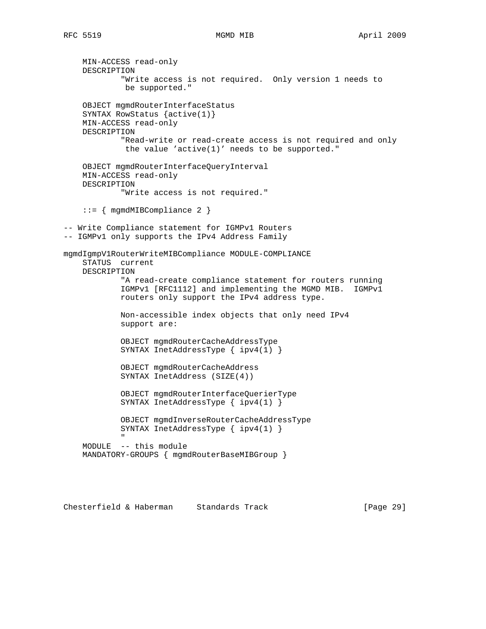MIN-ACCESS read-only DESCRIPTION "Write access is not required. Only version 1 needs to be supported." OBJECT mgmdRouterInterfaceStatus SYNTAX RowStatus {active(1)} MIN-ACCESS read-only DESCRIPTION "Read-write or read-create access is not required and only the value 'active(1)' needs to be supported." OBJECT mgmdRouterInterfaceQueryInterval MIN-ACCESS read-only DESCRIPTION "Write access is not required." ::= { mgmdMIBCompliance 2 } -- Write Compliance statement for IGMPv1 Routers -- IGMPv1 only supports the IPv4 Address Family mgmdIgmpV1RouterWriteMIBCompliance MODULE-COMPLIANCE STATUS current DESCRIPTION "A read-create compliance statement for routers running IGMPv1 [RFC1112] and implementing the MGMD MIB. IGMPv1 routers only support the IPv4 address type. Non-accessible index objects that only need IPv4 support are: OBJECT mgmdRouterCacheAddressType SYNTAX InetAddressType { ipv4(1) } OBJECT mgmdRouterCacheAddress SYNTAX InetAddress (SIZE(4)) OBJECT mgmdRouterInterfaceQuerierType SYNTAX InetAddressType { ipv4(1) } OBJECT mgmdInverseRouterCacheAddressType SYNTAX InetAddressType { ipv4(1) } " "The Contract of the Contract of the Contract of the Contract of the Contract of the Contract of the Contract of the Contract of the Contract of the Contract of the Contract of the Contract of the Contract of the Contrac MODULE -- this module MANDATORY-GROUPS { mgmdRouterBaseMIBGroup }

Chesterfield & Haberman Standards Track [Page 29]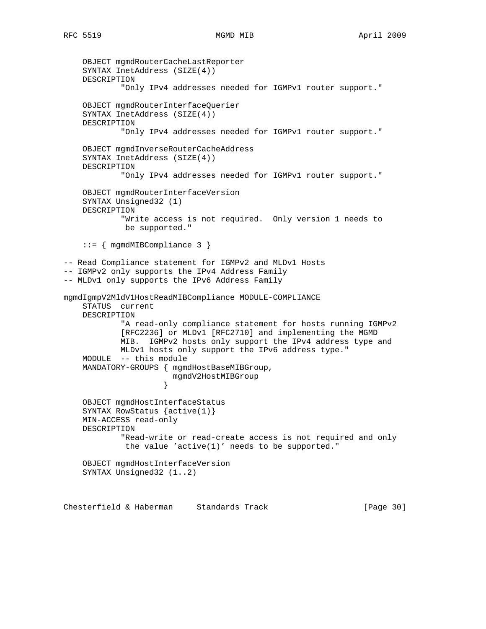OBJECT mgmdRouterCacheLastReporter SYNTAX InetAddress (SIZE(4)) DESCRIPTION "Only IPv4 addresses needed for IGMPv1 router support." OBJECT mgmdRouterInterfaceQuerier SYNTAX InetAddress (SIZE(4)) DESCRIPTION "Only IPv4 addresses needed for IGMPv1 router support." OBJECT mgmdInverseRouterCacheAddress SYNTAX InetAddress (SIZE(4)) DESCRIPTION "Only IPv4 addresses needed for IGMPv1 router support." OBJECT mgmdRouterInterfaceVersion SYNTAX Unsigned32 (1) DESCRIPTION "Write access is not required. Only version 1 needs to be supported." ::= { mgmdMIBCompliance 3 } -- Read Compliance statement for IGMPv2 and MLDv1 Hosts -- IGMPv2 only supports the IPv4 Address Family -- MLDv1 only supports the IPv6 Address Family mgmdIgmpV2MldV1HostReadMIBCompliance MODULE-COMPLIANCE STATUS current DESCRIPTION "A read-only compliance statement for hosts running IGMPv2 [RFC2236] or MLDv1 [RFC2710] and implementing the MGMD MIB. IGMPv2 hosts only support the IPv4 address type and MLDv1 hosts only support the IPv6 address type." MODULE -- this module MANDATORY-GROUPS { mgmdHostBaseMIBGroup, mgmdV2HostMIBGroup } OBJECT mgmdHostInterfaceStatus SYNTAX RowStatus {active(1)} MIN-ACCESS read-only DESCRIPTION "Read-write or read-create access is not required and only the value 'active(1)' needs to be supported." OBJECT mgmdHostInterfaceVersion SYNTAX Unsigned32 (1..2)

Chesterfield & Haberman Standards Track [Page 30]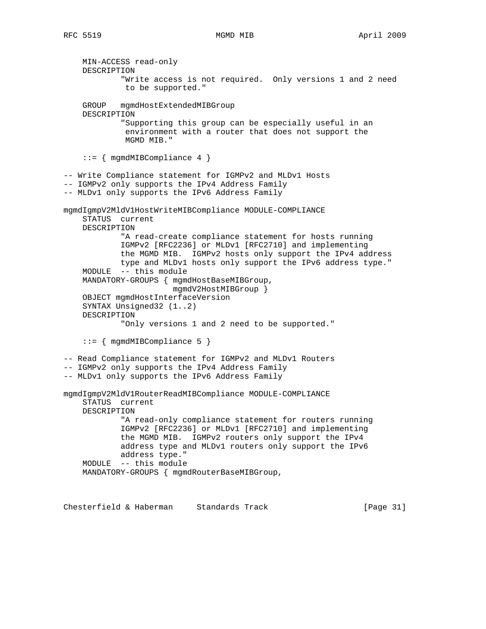MIN-ACCESS read-only DESCRIPTION "Write access is not required. Only versions 1 and 2 need to be supported." GROUP mgmdHostExtendedMIBGroup DESCRIPTION "Supporting this group can be especially useful in an environment with a router that does not support the MGMD MIB." ::= { mgmdMIBCompliance 4 } -- Write Compliance statement for IGMPv2 and MLDv1 Hosts -- IGMPv2 only supports the IPv4 Address Family -- MLDv1 only supports the IPv6 Address Family mgmdIgmpV2MldV1HostWriteMIBCompliance MODULE-COMPLIANCE STATUS current DESCRIPTION "A read-create compliance statement for hosts running IGMPv2 [RFC2236] or MLDv1 [RFC2710] and implementing the MGMD MIB. IGMPv2 hosts only support the IPv4 address type and MLDv1 hosts only support the IPv6 address type." MODULE -- this module MANDATORY-GROUPS { mgmdHostBaseMIBGroup, mgmdV2HostMIBGroup } OBJECT mgmdHostInterfaceVersion SYNTAX Unsigned32 (1..2) DESCRIPTION "Only versions 1 and 2 need to be supported." ::= { mgmdMIBCompliance 5 } -- Read Compliance statement for IGMPv2 and MLDv1 Routers -- IGMPv2 only supports the IPv4 Address Family -- MLDv1 only supports the IPv6 Address Family mgmdIgmpV2MldV1RouterReadMIBCompliance MODULE-COMPLIANCE STATUS current DESCRIPTION "A read-only compliance statement for routers running IGMPv2 [RFC2236] or MLDv1 [RFC2710] and implementing the MGMD MIB. IGMPv2 routers only support the IPv4 address type and MLDv1 routers only support the IPv6 address type." MODULE -- this module MANDATORY-GROUPS { mgmdRouterBaseMIBGroup,

Chesterfield & Haberman Standards Track [Page 31]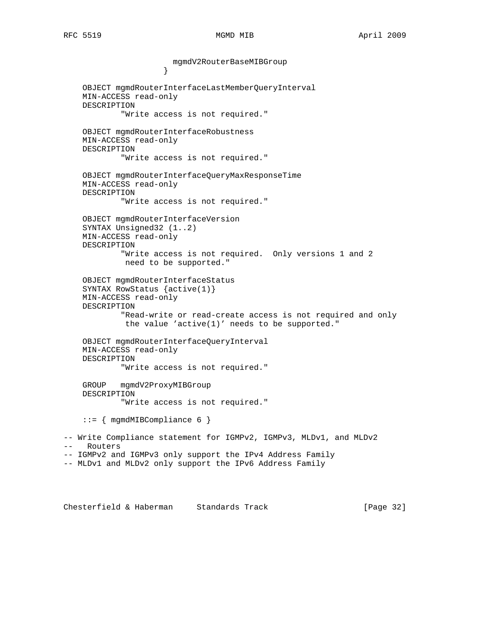mgmdV2RouterBaseMIBGroup } OBJECT mgmdRouterInterfaceLastMemberQueryInterval MIN-ACCESS read-only DESCRIPTION "Write access is not required." OBJECT mgmdRouterInterfaceRobustness MIN-ACCESS read-only DESCRIPTION "Write access is not required." OBJECT mgmdRouterInterfaceQueryMaxResponseTime MIN-ACCESS read-only DESCRIPTION "Write access is not required." OBJECT mgmdRouterInterfaceVersion SYNTAX Unsigned32 (1..2) MIN-ACCESS read-only DESCRIPTION "Write access is not required. Only versions 1 and 2 need to be supported." OBJECT mgmdRouterInterfaceStatus SYNTAX RowStatus {active(1)} MIN-ACCESS read-only DESCRIPTION "Read-write or read-create access is not required and only the value 'active(1)' needs to be supported." OBJECT mgmdRouterInterfaceQueryInterval MIN-ACCESS read-only DESCRIPTION "Write access is not required." GROUP mgmdV2ProxyMIBGroup DESCRIPTION "Write access is not required." ::= { mgmdMIBCompliance 6 } -- Write Compliance statement for IGMPv2, IGMPv3, MLDv1, and MLDv2 -- Routers -- IGMPv2 and IGMPv3 only support the IPv4 Address Family -- MLDv1 and MLDv2 only support the IPv6 Address Family

Chesterfield & Haberman Standards Track [Page 32]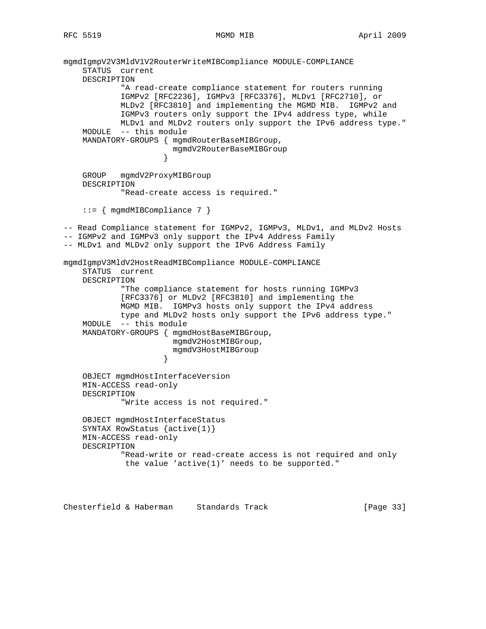```
mgmdIgmpV2V3MldV1V2RouterWriteMIBCompliance MODULE-COMPLIANCE
     STATUS current
     DESCRIPTION
             "A read-create compliance statement for routers running
             IGMPv2 [RFC2236], IGMPv3 [RFC3376], MLDv1 [RFC2710], or
             MLDv2 [RFC3810] and implementing the MGMD MIB. IGMPv2 and
            IGMPv3 routers only support the IPv4 address type, while
            MLDv1 and MLDv2 routers only support the IPv6 address type."
     MODULE -- this module
     MANDATORY-GROUPS { mgmdRouterBaseMIBGroup,
                       mgmdV2RouterBaseMIBGroup
 }
     GROUP mgmdV2ProxyMIBGroup
     DESCRIPTION
            "Read-create access is required."
     ::= { mgmdMIBCompliance 7 }
-- Read Compliance statement for IGMPv2, IGMPv3, MLDv1, and MLDv2 Hosts
-- IGMPv2 and IGMPv3 only support the IPv4 Address Family
-- MLDv1 and MLDv2 only support the IPv6 Address Family
mgmdIgmpV3MldV2HostReadMIBCompliance MODULE-COMPLIANCE
     STATUS current
     DESCRIPTION
             "The compliance statement for hosts running IGMPv3
             [RFC3376] or MLDv2 [RFC3810] and implementing the
            MGMD MIB. IGMPv3 hosts only support the IPv4 address
            type and MLDv2 hosts only support the IPv6 address type."
     MODULE -- this module
     MANDATORY-GROUPS { mgmdHostBaseMIBGroup,
                       mgmdV2HostMIBGroup,
                       mgmdV3HostMIBGroup
 }
     OBJECT mgmdHostInterfaceVersion
     MIN-ACCESS read-only
     DESCRIPTION
             "Write access is not required."
     OBJECT mgmdHostInterfaceStatus
     SYNTAX RowStatus {active(1)}
     MIN-ACCESS read-only
     DESCRIPTION
             "Read-write or read-create access is not required and only
              the value 'active(1)' needs to be supported."
```
Chesterfield & Haberman Standards Track [Page 33]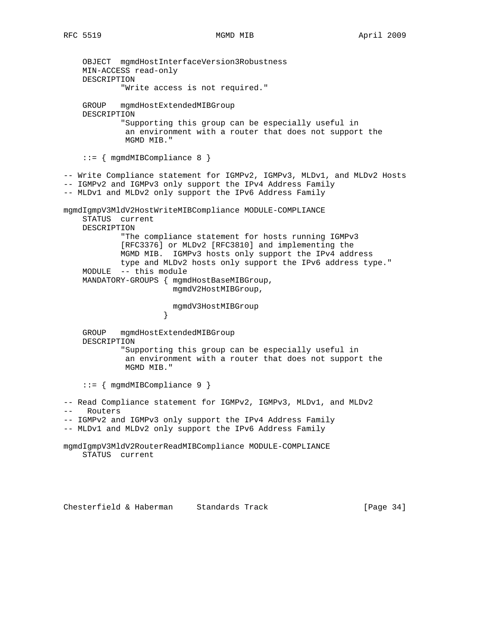OBJECT mgmdHostInterfaceVersion3Robustness MIN-ACCESS read-only DESCRIPTION "Write access is not required." GROUP mgmdHostExtendedMIBGroup DESCRIPTION "Supporting this group can be especially useful in an environment with a router that does not support the MGMD MIB." ::= { mgmdMIBCompliance 8 } -- Write Compliance statement for IGMPv2, IGMPv3, MLDv1, and MLDv2 Hosts -- IGMPv2 and IGMPv3 only support the IPv4 Address Family -- MLDv1 and MLDv2 only support the IPv6 Address Family mgmdIgmpV3MldV2HostWriteMIBCompliance MODULE-COMPLIANCE STATUS current DESCRIPTION "The compliance statement for hosts running IGMPv3 [RFC3376] or MLDv2 [RFC3810] and implementing the MGMD MIB. IGMPv3 hosts only support the IPv4 address type and MLDv2 hosts only support the IPv6 address type." MODULE -- this module MANDATORY-GROUPS { mgmdHostBaseMIBGroup, mgmdV2HostMIBGroup, mgmdV3HostMIBGroup } GROUP mgmdHostExtendedMIBGroup DESCRIPTION "Supporting this group can be especially useful in an environment with a router that does not support the MGMD MIB." ::= { mgmdMIBCompliance 9 } -- Read Compliance statement for IGMPv2, IGMPv3, MLDv1, and MLDv2 -- Routers -- IGMPv2 and IGMPv3 only support the IPv4 Address Family -- MLDv1 and MLDv2 only support the IPv6 Address Family mgmdIgmpV3MldV2RouterReadMIBCompliance MODULE-COMPLIANCE STATUS current

Chesterfield & Haberman Standards Track [Page 34]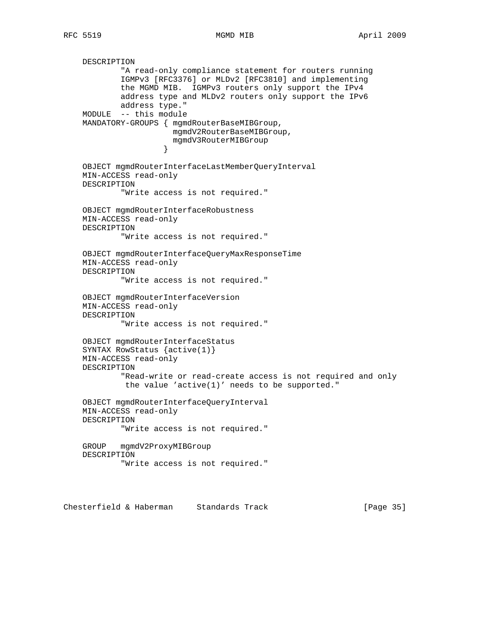RFC 5519 MGMD MIB April 2009

 DESCRIPTION "A read-only compliance statement for routers running IGMPv3 [RFC3376] or MLDv2 [RFC3810] and implementing the MGMD MIB. IGMPv3 routers only support the IPv4 address type and MLDv2 routers only support the IPv6 address type." MODULE -- this module MANDATORY-GROUPS { mgmdRouterBaseMIBGroup, mgmdV2RouterBaseMIBGroup, mgmdV3RouterMIBGroup } OBJECT mgmdRouterInterfaceLastMemberQueryInterval MIN-ACCESS read-only DESCRIPTION "Write access is not required." OBJECT mgmdRouterInterfaceRobustness MIN-ACCESS read-only DESCRIPTION "Write access is not required." OBJECT mgmdRouterInterfaceQueryMaxResponseTime MIN-ACCESS read-only DESCRIPTION "Write access is not required." OBJECT mgmdRouterInterfaceVersion MIN-ACCESS read-only DESCRIPTION "Write access is not required." OBJECT mgmdRouterInterfaceStatus SYNTAX RowStatus {active(1)} MIN-ACCESS read-only DESCRIPTION "Read-write or read-create access is not required and only the value 'active(1)' needs to be supported." OBJECT mgmdRouterInterfaceQueryInterval MIN-ACCESS read-only DESCRIPTION "Write access is not required." GROUP mgmdV2ProxyMIBGroup DESCRIPTION "Write access is not required."

Chesterfield & Haberman Standards Track [Page 35]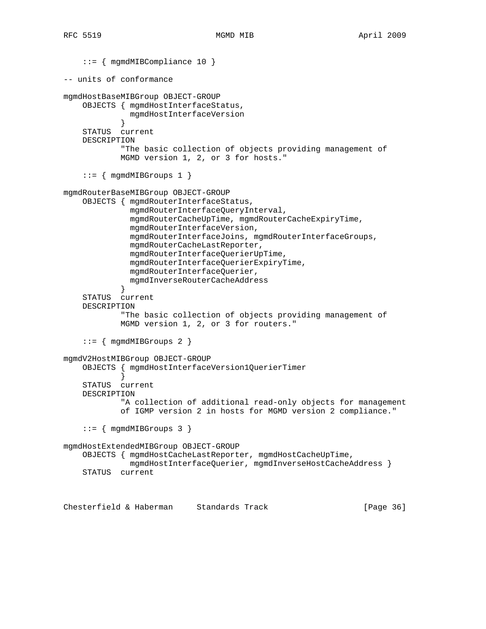```
 ::= { mgmdMIBCompliance 10 }
-- units of conformance
mgmdHostBaseMIBGroup OBJECT-GROUP
     OBJECTS { mgmdHostInterfaceStatus,
               mgmdHostInterfaceVersion
 }
     STATUS current
     DESCRIPTION
             "The basic collection of objects providing management of
             MGMD version 1, 2, or 3 for hosts."
    ::= { mgmdMIBGroups 1 { }mgmdRouterBaseMIBGroup OBJECT-GROUP
     OBJECTS { mgmdRouterInterfaceStatus,
               mgmdRouterInterfaceQueryInterval,
               mgmdRouterCacheUpTime, mgmdRouterCacheExpiryTime,
               mgmdRouterInterfaceVersion,
               mgmdRouterInterfaceJoins, mgmdRouterInterfaceGroups,
               mgmdRouterCacheLastReporter,
               mgmdRouterInterfaceQuerierUpTime,
               mgmdRouterInterfaceQuerierExpiryTime,
               mgmdRouterInterfaceQuerier,
            mgmdInverseRouterCacheAddress<br>}
 }
     STATUS current
     DESCRIPTION
             "The basic collection of objects providing management of
             MGMD version 1, 2, or 3 for routers."
    ::= { mgmdMIBGroups 2 }
mgmdV2HostMIBGroup OBJECT-GROUP
     OBJECTS { mgmdHostInterfaceVersion1QuerierTimer
 }
     STATUS current
     DESCRIPTION
             "A collection of additional read-only objects for management
             of IGMP version 2 in hosts for MGMD version 2 compliance."
     ::= { mgmdMIBGroups 3 }
mgmdHostExtendedMIBGroup OBJECT-GROUP
     OBJECTS { mgmdHostCacheLastReporter, mgmdHostCacheUpTime,
               mgmdHostInterfaceQuerier, mgmdInverseHostCacheAddress }
     STATUS current
```
Chesterfield & Haberman Standards Track [Page 36]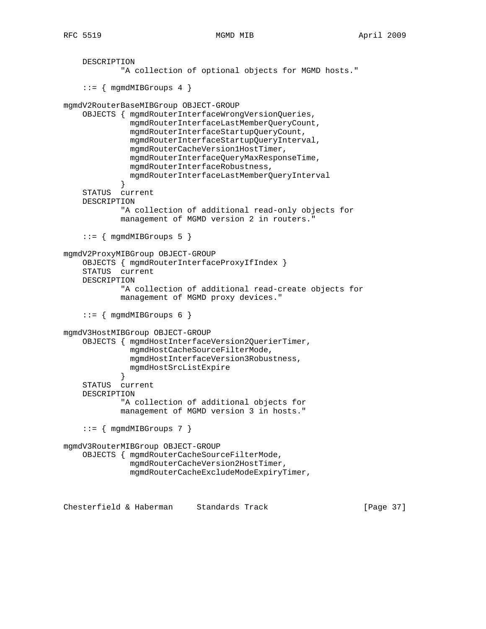```
 DESCRIPTION
            "A collection of optional objects for MGMD hosts."
    ::= { mqmdMIBGroups 4 }
mgmdV2RouterBaseMIBGroup OBJECT-GROUP
     OBJECTS { mgmdRouterInterfaceWrongVersionQueries,
               mgmdRouterInterfaceLastMemberQueryCount,
               mgmdRouterInterfaceStartupQueryCount,
               mgmdRouterInterfaceStartupQueryInterval,
               mgmdRouterCacheVersion1HostTimer,
               mgmdRouterInterfaceQueryMaxResponseTime,
               mgmdRouterInterfaceRobustness,
               mgmdRouterInterfaceLastMemberQueryInterval
 }
     STATUS current
    DESCRIPTION
             "A collection of additional read-only objects for
             management of MGMD version 2 in routers."
    ::= { mgmdMIBGroups 5 }
mgmdV2ProxyMIBGroup OBJECT-GROUP
     OBJECTS { mgmdRouterInterfaceProxyIfIndex }
     STATUS current
    DESCRIPTION
             "A collection of additional read-create objects for
             management of MGMD proxy devices."
    ::= { mgmdMIBGroups 6 }
mgmdV3HostMIBGroup OBJECT-GROUP
     OBJECTS { mgmdHostInterfaceVersion2QuerierTimer,
               mgmdHostCacheSourceFilterMode,
               mgmdHostInterfaceVersion3Robustness,
               mgmdHostSrcListExpire
 }
     STATUS current
     DESCRIPTION
             "A collection of additional objects for
             management of MGMD version 3 in hosts."
     ::= { mgmdMIBGroups 7 }
mgmdV3RouterMIBGroup OBJECT-GROUP
     OBJECTS { mgmdRouterCacheSourceFilterMode,
               mgmdRouterCacheVersion2HostTimer,
               mgmdRouterCacheExcludeModeExpiryTimer,
```
Chesterfield & Haberman Standards Track [Page 37]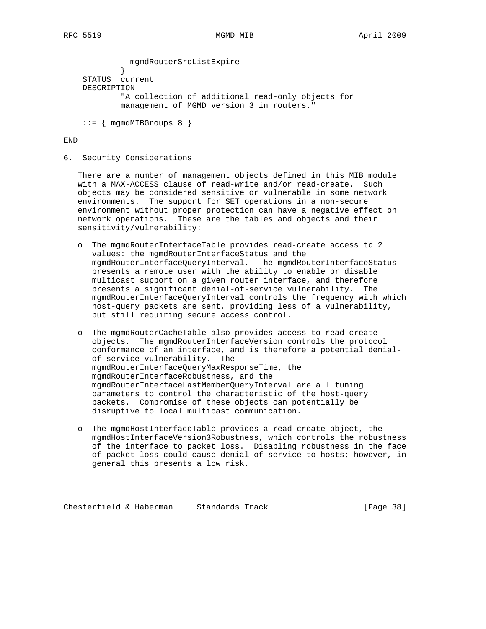mgmdRouterSrcListExpire } STATUS current DESCRIPTION "A collection of additional read-only objects for management of MGMD version 3 in routers."

 $::=$  { mgmdMIBGroups 8 }

END

6. Security Considerations

 There are a number of management objects defined in this MIB module with a MAX-ACCESS clause of read-write and/or read-create. Such objects may be considered sensitive or vulnerable in some network environments. The support for SET operations in a non-secure environment without proper protection can have a negative effect on network operations. These are the tables and objects and their sensitivity/vulnerability:

- o The mgmdRouterInterfaceTable provides read-create access to 2 values: the mgmdRouterInterfaceStatus and the mgmdRouterInterfaceQueryInterval. The mgmdRouterInterfaceStatus presents a remote user with the ability to enable or disable multicast support on a given router interface, and therefore presents a significant denial-of-service vulnerability. The mgmdRouterInterfaceQueryInterval controls the frequency with which host-query packets are sent, providing less of a vulnerability, but still requiring secure access control.
- o The mgmdRouterCacheTable also provides access to read-create objects. The mgmdRouterInterfaceVersion controls the protocol conformance of an interface, and is therefore a potential denial of-service vulnerability. The mgmdRouterInterfaceQueryMaxResponseTime, the mgmdRouterInterfaceRobustness, and the mgmdRouterInterfaceLastMemberQueryInterval are all tuning parameters to control the characteristic of the host-query packets. Compromise of these objects can potentially be disruptive to local multicast communication.
- o The mgmdHostInterfaceTable provides a read-create object, the mgmdHostInterfaceVersion3Robustness, which controls the robustness of the interface to packet loss. Disabling robustness in the face of packet loss could cause denial of service to hosts; however, in general this presents a low risk.

Chesterfield & Haberman Standards Track [Page 38]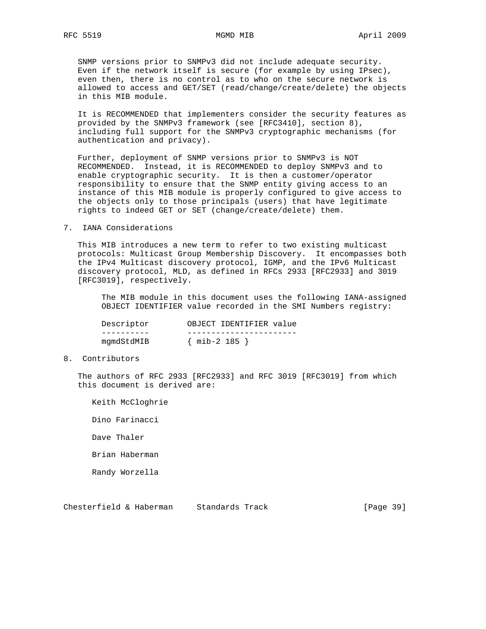SNMP versions prior to SNMPv3 did not include adequate security. Even if the network itself is secure (for example by using IPsec), even then, there is no control as to who on the secure network is allowed to access and GET/SET (read/change/create/delete) the objects in this MIB module.

 It is RECOMMENDED that implementers consider the security features as provided by the SNMPv3 framework (see [RFC3410], section 8), including full support for the SNMPv3 cryptographic mechanisms (for authentication and privacy).

 Further, deployment of SNMP versions prior to SNMPv3 is NOT RECOMMENDED. Instead, it is RECOMMENDED to deploy SNMPv3 and to enable cryptographic security. It is then a customer/operator responsibility to ensure that the SNMP entity giving access to an instance of this MIB module is properly configured to give access to the objects only to those principals (users) that have legitimate rights to indeed GET or SET (change/create/delete) them.

7. IANA Considerations

 This MIB introduces a new term to refer to two existing multicast protocols: Multicast Group Membership Discovery. It encompasses both the IPv4 Multicast discovery protocol, IGMP, and the IPv6 Multicast discovery protocol, MLD, as defined in RFCs 2933 [RFC2933] and 3019 [RFC3019], respectively.

 The MIB module in this document uses the following IANA-assigned OBJECT IDENTIFIER value recorded in the SMI Numbers registry:

| Descriptor | OBJECT IDENTIFIER value |
|------------|-------------------------|
|            |                         |
| mgmdStdMIB | $\{$ mib-2 185 a        |

8. Contributors

 The authors of RFC 2933 [RFC2933] and RFC 3019 [RFC3019] from which this document is derived are:

 Keith McCloghrie Dino Farinacci Dave Thaler Brian Haberman Randy Worzella

Chesterfield & Haberman Standards Track [Page 39]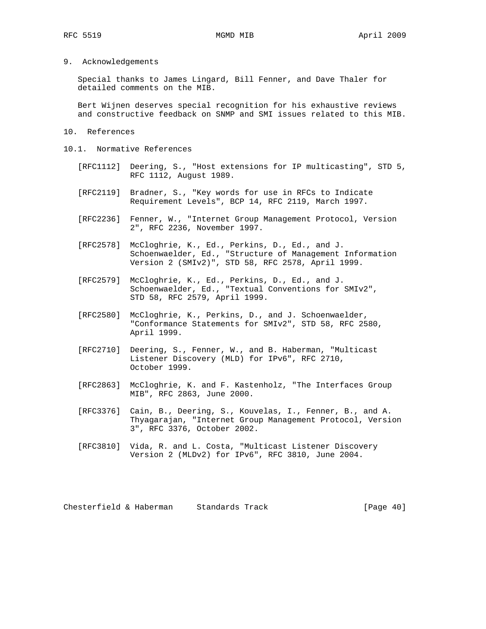9. Acknowledgements

 Special thanks to James Lingard, Bill Fenner, and Dave Thaler for detailed comments on the MIB.

 Bert Wijnen deserves special recognition for his exhaustive reviews and constructive feedback on SNMP and SMI issues related to this MIB.

- 10. References
- 10.1. Normative References
	- [RFC1112] Deering, S., "Host extensions for IP multicasting", STD 5, RFC 1112, August 1989.
	- [RFC2119] Bradner, S., "Key words for use in RFCs to Indicate Requirement Levels", BCP 14, RFC 2119, March 1997.
	- [RFC2236] Fenner, W., "Internet Group Management Protocol, Version 2", RFC 2236, November 1997.
	- [RFC2578] McCloghrie, K., Ed., Perkins, D., Ed., and J. Schoenwaelder, Ed., "Structure of Management Information Version 2 (SMIv2)", STD 58, RFC 2578, April 1999.
	- [RFC2579] McCloghrie, K., Ed., Perkins, D., Ed., and J. Schoenwaelder, Ed., "Textual Conventions for SMIv2", STD 58, RFC 2579, April 1999.
	- [RFC2580] McCloghrie, K., Perkins, D., and J. Schoenwaelder, "Conformance Statements for SMIv2", STD 58, RFC 2580, April 1999.
	- [RFC2710] Deering, S., Fenner, W., and B. Haberman, "Multicast Listener Discovery (MLD) for IPv6", RFC 2710, October 1999.
	- [RFC2863] McCloghrie, K. and F. Kastenholz, "The Interfaces Group MIB", RFC 2863, June 2000.
	- [RFC3376] Cain, B., Deering, S., Kouvelas, I., Fenner, B., and A. Thyagarajan, "Internet Group Management Protocol, Version 3", RFC 3376, October 2002.
	- [RFC3810] Vida, R. and L. Costa, "Multicast Listener Discovery Version 2 (MLDv2) for IPv6", RFC 3810, June 2004.

Chesterfield & Haberman Standards Track [Page 40]